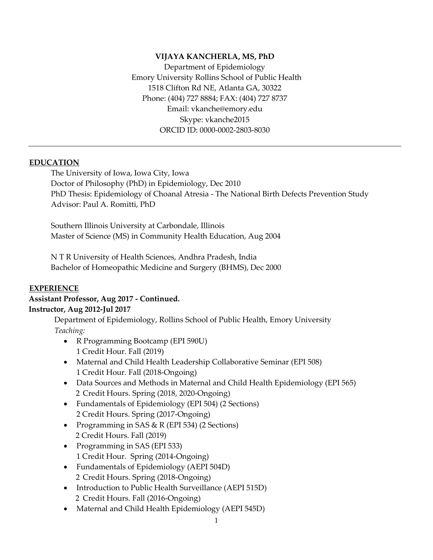#### **VIJAYA KANCHERLA, MS, PhD**

Department of Epidemiology Emory University Rollins School of Public Health 1518 Clifton Rd NE, Atlanta GA, 30322 Phone: (404) 727 8884; FAX: (404) 727 8737 Email: [vkanche@emory.edu](mailto:vkanche@emory.edu) Skype: vkanche2015 ORCID ID: 0000-0002-2803-8030

#### **EDUCATION**

The University of Iowa, Iowa City, Iowa Doctor of Philosophy (PhD) in Epidemiology, Dec 2010 PhD Thesis: Epidemiology of Choanal Atresia - The National Birth Defects Prevention Study Advisor: Paul A. Romitti, PhD

Southern Illinois University at Carbondale, Illinois Master of Science (MS) in Community Health Education, Aug 2004

N T R University of Health Sciences, Andhra Pradesh, India Bachelor of Homeopathic Medicine and Surgery (BHMS), Dec 2000

#### **EXPERIENCE**

#### **Assistant Professor, Aug 2017 - Continued. Instructor, Aug 2012-Jul 2017**

Department of Epidemiology, Rollins School of Public Health, Emory University *Teaching:*

- R Programming Bootcamp (EPI 590U) 1 Credit Hour. Fall (2019)
- Maternal and Child Health Leadership Collaborative Seminar (EPI 508) 1 Credit Hour. Fall (2018-Ongoing)
- Data Sources and Methods in Maternal and Child Health Epidemiology (EPI 565) 2 Credit Hours. Spring (2018, 2020-Ongoing)
- Fundamentals of Epidemiology (EPI 504) (2 Sections) 2 Credit Hours. Spring (2017-Ongoing)
- Programming in SAS & R (EPI 534) (2 Sections) 2 Credit Hours. Fall (2019)
- Programming in SAS (EPI 533) 1 Credit Hour. Spring (2014-Ongoing)
- Fundamentals of Epidemiology (AEPI 504D) 2 Credit Hours. Spring (2018-Ongoing)
- Introduction to Public Health Surveillance (AEPI 515D) 2 Credit Hours. Fall (2016-Ongoing)
- Maternal and Child Health Epidemiology (AEPI 545D)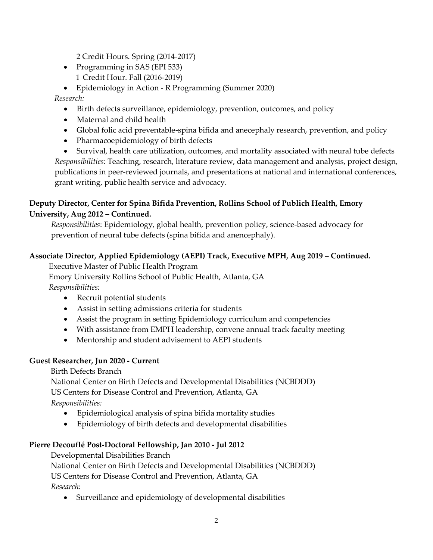2 Credit Hours. Spring (2014-2017)

• Programming in SAS (EPI 533) 1 Credit Hour. Fall (2016-2019)

• Epidemiology in Action - R Programming (Summer 2020)

*Research:*

- Birth defects surveillance, epidemiology, prevention, outcomes, and policy
- Maternal and child health
- Global folic acid preventable-spina bifida and anecephaly research, prevention, and policy
- Pharmacoepidemiology of birth defects

• Survival, health care utilization, outcomes, and mortality associated with neural tube defects *Responsibilities*: Teaching, research, literature review, data management and analysis, project design, publications in peer-reviewed journals, and presentations at national and international conferences, grant writing, public health service and advocacy.

## **Deputy Director, Center for Spina Bifida Prevention, Rollins School of Publich Health, Emory University, Aug 2012 – Continued.**

*Responsibilities*: Epidemiology, global health, prevention policy, science-based advocacy for prevention of neural tube defects (spina bifida and anencephaly).

# **Associate Director, Applied Epidemiology (AEPI) Track, Executive MPH, Aug 2019 – Continued.**

Executive Master of Public Health Program

Emory University Rollins School of Public Health, Atlanta, GA

*Responsibilities:* 

- Recruit potential students
- Assist in setting admissions criteria for students
- Assist the program in setting Epidemiology curriculum and competencies
- With assistance from EMPH leadership, convene annual track faculty meeting
- Mentorship and student advisement to AEPI students

## **Guest Researcher, Jun 2020 - Current**

## Birth Defects Branch

National Center on Birth Defects and Developmental Disabilities (NCBDDD) US Centers for Disease Control and Prevention, Atlanta, GA *Responsibilities:* 

- Epidemiological analysis of spina bifida mortality studies
- Epidemiology of birth defects and developmental disabilities

# **Pierre Decouflé Post-Doctoral Fellowship, Jan 2010 - Jul 2012**

Developmental Disabilities Branch

National Center on Birth Defects and Developmental Disabilities (NCBDDD) US Centers for Disease Control and Prevention, Atlanta, GA *Research*:

• Surveillance and epidemiology of developmental disabilities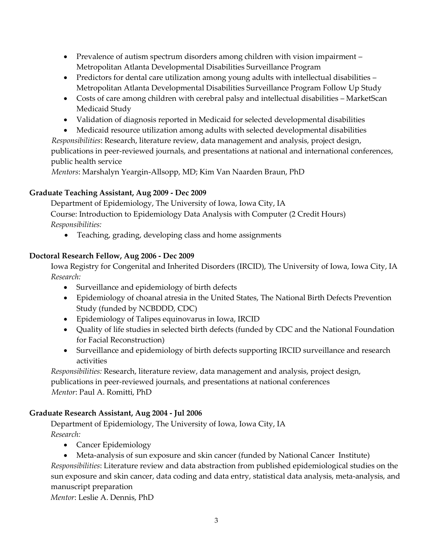- Prevalence of autism spectrum disorders among children with vision impairment Metropolitan Atlanta Developmental Disabilities Surveillance Program
- Predictors for dental care utilization among young adults with intellectual disabilities -Metropolitan Atlanta Developmental Disabilities Surveillance Program Follow Up Study
- Costs of care among children with cerebral palsy and intellectual disabilities MarketScan Medicaid Study
- Validation of diagnosis reported in Medicaid for selected developmental disabilities
- Medicaid resource utilization among adults with selected developmental disabilities

*Responsibilities*: Research, literature review, data management and analysis, project design, publications in peer-reviewed journals, and presentations at national and international conferences, public health service

*Mentors*: Marshalyn Yeargin-Allsopp, MD; Kim Van Naarden Braun, PhD

## **Graduate Teaching Assistant, Aug 2009 - Dec 2009**

Department of Epidemiology, The University of Iowa, Iowa City, IA Course: Introduction to Epidemiology Data Analysis with Computer (2 Credit Hours)  *Responsibilities:*

• Teaching, grading, developing class and home assignments

## **Doctoral Research Fellow, Aug 2006 - Dec 2009**

Iowa Registry for Congenital and Inherited Disorders (IRCID), The University of Iowa, Iowa City, IA *Research:* 

- Surveillance and epidemiology of birth defects
- Epidemiology of choanal atresia in the United States, The National Birth Defects Prevention Study (funded by NCBDDD, CDC)
- Epidemiology of Talipes equinovarus in Iowa, IRCID
- Quality of life studies in selected birth defects (funded by CDC and the National Foundation for Facial Reconstruction)
- Surveillance and epidemiology of birth defects supporting IRCID surveillance and research activities

*Responsibilities:* Research, literature review, data management and analysis, project design, publications in peer-reviewed journals, and presentations at national conferences *Mentor*: Paul A. Romitti, PhD

## **Graduate Research Assistant, Aug 2004 - Jul 2006**

Department of Epidemiology, The University of Iowa, Iowa City, IA  *Research:*

- Cancer Epidemiology
- Meta-analysis of sun exposure and skin cancer (funded by National Cancer Institute) *Responsibilities*: Literature review and data abstraction from published epidemiological studies on the sun exposure and skin cancer, data coding and data entry, statistical data analysis, meta-analysis, and manuscript preparation

 *Mentor*: Leslie A. Dennis, PhD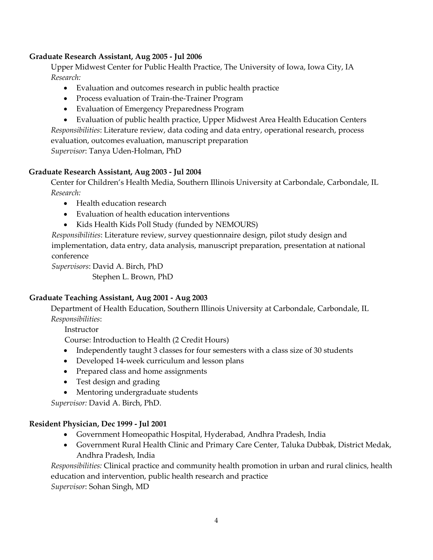#### **Graduate Research Assistant, Aug 2005 - Jul 2006**

Upper Midwest Center for Public Health Practice, The University of Iowa, Iowa City, IA *Research:*

- Evaluation and outcomes research in public health practice
- Process evaluation of Train-the-Trainer Program
- Evaluation of Emergency Preparedness Program
- Evaluation of public health practice, Upper Midwest Area Health Education Centers

*Responsibilities*: Literature review, data coding and data entry, operational research, process evaluation, outcomes evaluation, manuscript preparation *Supervisor*: Tanya Uden-Holman, PhD

#### **Graduate Research Assistant, Aug 2003 - Jul 2004**

Center for Children's Health Media, Southern Illinois University at Carbondale, Carbondale, IL *Research:*

- Health education research
- Evaluation of health education interventions
- Kids Health Kids Poll Study (funded by NEMOURS)

*Responsibilities*: Literature review, survey questionnaire design, pilot study design and implementation, data entry, data analysis, manuscript preparation, presentation at national conference

*Supervisors*: David A. Birch, PhD Stephen L. Brown, PhD

#### **Graduate Teaching Assistant, Aug 2001 - Aug 2003**

Department of Health Education, Southern Illinois University at Carbondale, Carbondale, IL *Responsibilities*:

Instructor

Course: Introduction to Health (2 Credit Hours)

- Independently taught 3 classes for four semesters with a class size of 30 students
- Developed 14-week curriculum and lesson plans
- Prepared class and home assignments
- Test design and grading
- Mentoring undergraduate students

*Supervisor:* David A. Birch, PhD.

#### **Resident Physician, Dec 1999 - Jul 2001**

- Government Homeopathic Hospital, Hyderabad, Andhra Pradesh, India
- Government Rural Health Clinic and Primary Care Center, Taluka Dubbak, District Medak, Andhra Pradesh, India

*Responsibilities:* Clinical practice and community health promotion in urban and rural clinics, health education and intervention, public health research and practice *Supervisor*: Sohan Singh, MD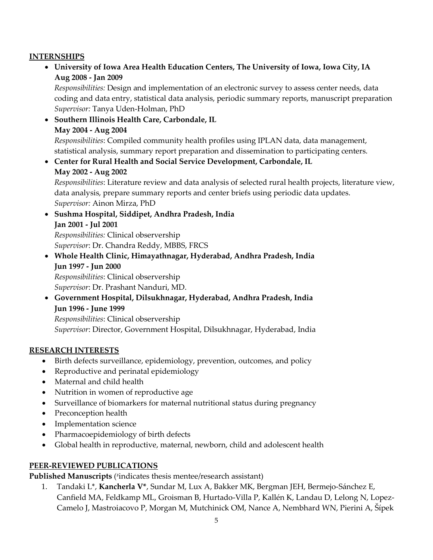## **INTERNSHIPS**

• **University of Iowa Area Health Education Centers, The University of Iowa, Iowa City, IA Aug 2008 - Jan 2009**

*Responsibilities:* Design and implementation of an electronic survey to assess center needs, data coding and data entry, statistical data analysis, periodic summary reports, manuscript preparation *Supervisor:* Tanya Uden-Holman, PhD

- **Southern Illinois Health Care, Carbondale, IL May 2004 - Aug 2004** *Responsibilities*: Compiled community health profiles using IPLAN data, data management, statistical analysis, summary report preparation and dissemination to participating centers.
- **Center for Rural Health and Social Service Development, Carbondale, IL May 2002 - Aug 2002**

*Responsibilities*: Literature review and data analysis of selected rural health projects, literature view, data analysis, prepare summary reports and center briefs using periodic data updates. *Supervisor:* Ainon Mirza, PhD

- **Sushma Hospital, Siddipet, Andhra Pradesh, India Jan 2001 - Jul 2001**  *Responsibilities:* Clinical observership *Supervisor*: Dr. Chandra Reddy, MBBS, FRCS
- **Whole Health Clinic, Himayathnagar, Hyderabad, Andhra Pradesh, India Jun 1997 - Jun 2000**  *Responsibilities*: Clinical observership *Supervisor*: Dr. Prashant Nanduri, MD.
- **Government Hospital, Dilsukhnagar, Hyderabad, Andhra Pradesh, India Jun 1996 - June 1999**

*Responsibilities*: Clinical observership *Supervisor*: Director, Government Hospital, Dilsukhnagar, Hyderabad, India

## **RESEARCH INTERESTS**

- Birth defects surveillance, epidemiology, prevention, outcomes, and policy
- Reproductive and perinatal epidemiology
- Maternal and child health
- Nutrition in women of reproductive age
- Surveillance of biomarkers for maternal nutritional status during pregnancy
- Preconception health
- Implementation science
- Pharmacoepidemiology of birth defects
- Global health in reproductive, maternal, newborn, child and adolescent health

## **PEER-REVIEWED PUBLICATIONS**

**Published Manuscripts** ( # indicates thesis mentee/research assistant)

1. Tandaki L\*, **Kancherla V\***, Sundar M, Lux A, Bakker MK, Bergman JEH, Bermejo-Sánchez E, Canfield MA, Feldkamp ML, Groisman B, Hurtado-Villa P, Kallén K, Landau D, Lelong N, Lopez-Camelo J, Mastroiacovo P, Morgan M, Mutchinick OM, Nance A, Nembhard WN, Pierini A, Šípek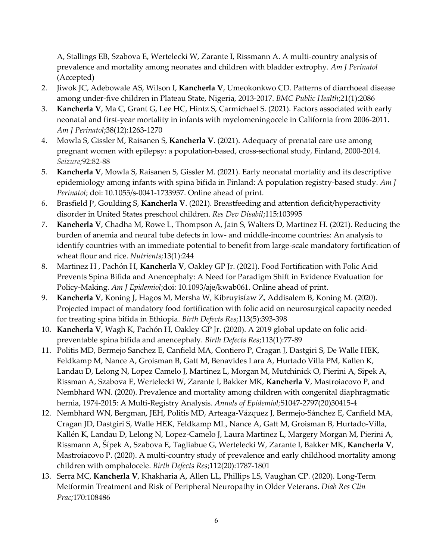A, Stallings EB, Szabova E, Wertelecki W, Zarante I, Rissmann A. A multi-country analysis of prevalence and mortality among neonates and children with bladder extrophy. *Am J Perinatol* (Accepted)

- 2. Jiwok JC, Adebowale AS, Wilson I, **Kancherla V**, Umeokonkwo CD. Patterns of diarrhoeal disease among under-five children in Plateau State, Nigeria, 2013-2017. *BMC Public Health*;21(1):2086
- 3. **Kancherla V**, Ma C, Grant G, Lee HC, Hintz S, Carmichael S. (2021). Factors associated with early neonatal and first-year mortality in infants with myelomeningocele in California from 2006-2011. *Am J Perinatol*;38(12):1263-1270
- 4. Mowla S, Gissler M, Raisanen S, **Kancherla V**. (2021). Adequacy of prenatal care use among pregnant women with epilepsy: a population-based, cross-sectional study, Finland, 2000-2014. *Seizure;*92:82-88
- 5. **Kancherla V**, Mowla S, Raisanen S, Gissler M. (2021). Early neonatal mortality and its descriptive epidemiology among infants with spina bifida in Finland: A population registry-based study. *Am J Perinatol*; doi: 10.1055/s-0041-1733957. Online ahead of print.
- 6. Brasfield J# , Goulding S, **Kancherla V**. (2021). Breastfeeding and attention deficit/hyperactivity disorder in United States preschool children. *Res Dev Disabil*;115:103995
- 7. **Kancherla V**, Chadha M, Rowe L, Thompson A, Jain S, Walters D, Martinez H. (2021). Reducing the burden of anemia and neural tube defects in low- and middle-income countries: An analysis to identify countries with an immediate potential to benefit from large-scale mandatory fortification of wheat flour and rice. *Nutrients;*13(1):244
- 8. Martinez H , Pachón H, **Kancherla V**, Oakley GP Jr. (2021). Food Fortification with Folic Acid Prevents Spina Bifida and Anencephaly: A Need for Paradigm Shift in Evidence Evaluation for Policy-Making. *Am J Epidemiol*;doi: 10.1093/aje/kwab061. Online ahead of print.
- 9. **Kancherla V**, Koning J, Hagos M, Mersha W, Kibruyisfaw Z, Addisalem B, Koning M. (2020). Projected impact of mandatory food fortification with folic acid on neurosurgical capacity needed for treating spina bifida in Ethiopia. *Birth Defects Res;*113(5):393-398
- 10. **Kancherla V**, Wagh K, Pachón H, Oakley GP Jr. (2020). A 2019 global update on folic acidpreventable spina bifida and anencephaly. *Birth Defects Res*;113(1):77-89
- 11. Politis MD, Bermejo Sanchez E, Canfield MA, Contiero P, Cragan J, Dastgiri S, De Walle HEK, Feldkamp M, Nance A, Groisman B, Gatt M, Benavides Lara A, Hurtado Villa PM, Kallen K, Landau D, Lelong N, Lopez Camelo J, Martinez L, Morgan M, Mutchinick O, Pierini A, Sipek A, Rissman A, Szabova E, Wertelecki W, Zarante I, Bakker MK, **Kancherla V**, Mastroiacovo P, and Nembhard WN. (2020). Prevalence and mortality among children with congenital diaphragmatic hernia, 1974-2015: A Multi-Registry Analysis. *Annals of Epidemiol;*S1047-2797(20)30415-4
- 12. Nembhard WN, Bergman, JEH, Politis MD, Arteaga-Vázquez J, Bermejo-Sánchez E, Canfield MA, Cragan JD, Dastgiri S, Walle HEK, Feldkamp ML, Nance A, Gatt M, Groisman B, Hurtado-Villa, Kallén K, Landau D, Lelong N, Lopez-Camelo J, Laura Martinez L, Margery Morgan M, Pierini A, Rissmann A, Šípek A, Szabova E, Tagliabue G, Wertelecki W, Zarante I, Bakker MK, **Kancherla V**, Mastroiacovo P. (2020). A multi-country study of prevalence and early childhood mortality among children with omphalocele. *Birth Defects Res*;112(20):1787-1801
- 13. Serra MC, **Kancherla V**, Khakharia A, Allen LL, Phillips LS, Vaughan CP. (2020). Long-Term Metformin Treatment and Risk of Peripheral Neuropathy in Older Veterans. *Diab Res Clin Prac;*170:108486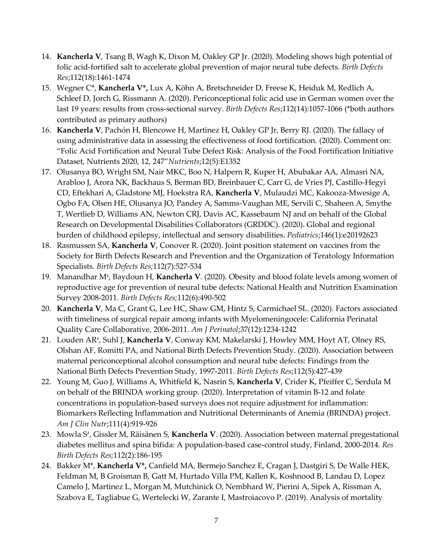- 14. **Kancherla V**, Tsang B, Wagh K, Dixon M, Oakley GP Jr. (2020). Modeling shows high potential of folic acid-fortified salt to accelerate global prevention of major neural tube defects. *Birth Defects Res*;112(18):1461-1474
- 15. Wegner C\*, **Kancherla V\*,** Lux A, Köhn A, Bretschneider D, Freese K, Heiduk M, Redlich A, Schleef D, Jorch G, Rissmann A. (2020). Periconceptional folic acid use in German women over the last 19 years: results from cross-sectional survey. *Birth Defects Res*;112(14):1057-1066 (\*both authors contributed as primary authors)
- 16. **Kancherla V**, Pachón H, Blencowe H, Martinez H, Oakley GP Jr, Berry RJ. (2020). The fallacy of using administrative data in assessing the effectiveness of food fortification. (2020). Comment on: "Folic Acid Fortification and Neural Tube Defect Risk: Analysis of the Food Fortification Initiative Dataset, Nutrients 2020, 12, 247"*Nutrients*;12(5):E1352
- 17. Olusanya BO, Wright SM, Nair MKC, Boo N, Halpern R, Kuper H, Abubakar AA, Almasri NA, Arabloo J, Arora NK, Backhaus S, Berman BD, Breinbauer C, Carr G, de Vries PJ, Castillo-Hegyi CD, Eftekhari A, Gladstone MJ, Hoekstra RA, **Kancherla V**, Mulaudzi MC, Kakooza-Mwesige A, Ogbo FA, Olsen HE, Olusanya JO, Pandey A, Samms-Vaughan ME, Servili C, Shaheen A, Smythe T, Wertlieb D, Williams AN, Newton CRJ, Davis AC, Kassebaum NJ and on behalf of the Global Research on Developmental Disabilities Collaborators (GRDDC). (2020). Global and regional burden of childhood epilepsy, intellectual and sensory disabilities. *Pediatrics*;146(1):e20192623
- 18. Rasmussen SA, **Kancherla V**, Conover R. (2020). Joint position statement on vaccines from the Society for Birth Defects Research and Prevention and the Organization of Teratology Information Specialists. *Birth Defects Res;*112(7):527-534
- 19. Manandhar M# , Baydoun H, **Kancherla V**. (2020). Obesity and blood folate levels among women of reproductive age for prevention of neural tube defects: National Health and Nutrition Examination Survey 2008-2011. *Birth Defects Res;*112(6):490-502
- 20. **Kancherla V**, Ma C, Grant G, Lee HC, Shaw GM, Hintz S, Carmichael SL. (2020). Factors associated with timeliness of surgical repair among infants with Myelomeningocele: California Perinatal Quality Care Collaborative, 2006-2011. *Am J Perinatol*;37(12):1234-1242
- 21. Louden AR‡, Suhl J, **Kancherla V**, Conway KM, Makelarski J, Howley MM, Hoyt AT, Olney RS, Olshan AF, Romitti PA, and National Birth Defects Prevention Study. (2020). Association between maternal periconceptional alcohol consumption and neural tube defects: Findings from the National Birth Defects Prevention Study, 1997-2011. *Birth Defects Res*;112(5):427-439
- 22. Young M, Guo J, Williams A, Whitfield K, Nasrin S, **Kancherla V**, Crider K, Pfeiffer C, Serdula M on behalf of the BRINDA working group. (2020). Interpretation of vitamin B-12 and folate concentrations in population-based surveys does not require adjustment for inflammation: Biomarkers Reflecting Inflammation and Nutritional Determinants of Anemia (BRINDA) project. *Am J Clin Nutr*;111(4):919-926
- 23. Mowla S<sup>#</sup>, Gissler M, Räisänen S, **Kancherla V**. (2020). Association between maternal pregestational diabetes mellitus and spina bifida: A population-based case-control study, Finland, 2000-2014. *Res Birth Defects Res;*112(2):186-195
- 24. Bakker M\*, **Kancherla V\*,** Canfield MA, Bermejo Sanchez E, Cragan J, Dastgiri S, De Walle HEK, Feldman M, B Groisman B, Gatt M, Hurtado Villa PM, Kallen K, Koshnood B, Landau D, Lopez Camelo J, Martinez L, Morgan M, Mutchinick O, Nembhard W, Pierini A, Sipek A, Rissman A, Szabova E, Tagliabue G, Wertelecki W, Zarante I, Mastroiacovo P. (2019). Analysis of mortality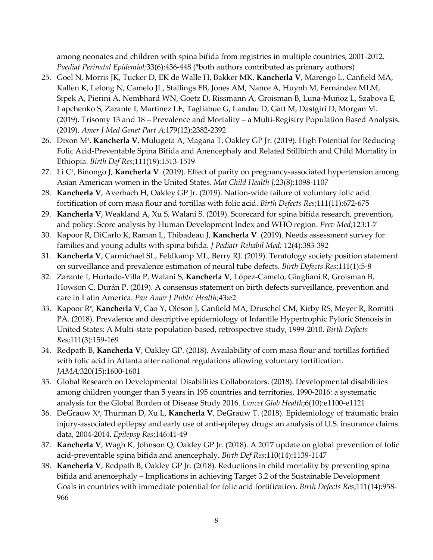among neonates and children with spina bifida from registries in multiple countries, 2001-2012. *Paediat Perinatal Epidemiol;*33(6):436-448 (\*both authors contributed as primary authors)

- 25. Goel N, Morris JK, Tucker D, EK de Walle H, Bakker MK, **Kancherla V**, Marengo L, Canfield MA, Kallen K, Lelong N, Camelo JL, Stallings EB, Jones AM, Nance A, Huynh M, Fernández MLM, Sipek A, Pierini A, Nembhard WN, Goetz D, Rissmann A, Groisman B, Luna-Muñoz L, Szabova E, Lapchenko S, Zarante I, Martinez LE, Tagliabue G, Landau D, Gatt M, Dastgiri D, Morgan M. (2019). Trisomy 13 and 18 – Prevalence and Mortality – a Multi-Registry Population Based Analysis. (2019). *Amer J Med Genet Part A;*179(12):2382-2392
- 26. Dixon M‡, **Kancherla V**, Mulugeta A, Magana T, Oakley GP Jr. (2019). High Potential for Reducing Folic Acid-Preventable Spina Bifida and Anencephaly and Related Stillbirth and Child Mortality in Ethiopia. *Birth Def Res*;111(19):1513-1519
- 27. Li C‡, Binongo J, **Kancherla V**. (2019). Effect of parity on pregnancy-associated hypertension among Asian American women in the United States. *Mat Child Health J;*23(8):1098-1107
- 28. **Kancherla V**, Averbach H, Oakley GP Jr. (2019). Nation-wide failure of voluntary folic acid fortification of corn masa flour and tortillas with folic acid. *Birth Defects Res*;111(11):672-675
- 29. **Kancherla V**, Weakland A, Xu S, Walani S. (2019). Scorecard for spina bifida research, prevention, and policy: Score analysis by Human Development Index and WHO region. *Prev Med*;123:1-7
- 30. Kapoor R, DiCarlo K, Raman L, Thibadeau J, **Kancherla V**. (2019). Needs assessment survey for families and young adults with spina bifida. *J Pediatr Rehabil Med;* 12(4):383-392
- 31. **Kancherla V**, Carmichael SL, Feldkamp ML, Berry RJ. (2019). Teratology society position statement on surveillance and prevalence estimation of neural tube defects. *Birth Defects Res*;111(1):5-8
- 32. Zarante I, Hurtado-Villa P, Walani S, **Kancherla V**, López-Camelo, Giugliani R, Groisman B, Howson C, Durán P. (2019). A consensus statement on birth defects surveillance, prevention and care in Latin America. *Pan Amer J Public Health*;43:e2
- 33. Kapoor R‡, **Kancherla V**, Cao Y, Oleson J, Canfield MA, Druschel CM, Kirby RS, Meyer R, Romitti PA. (2018). Prevalence and descriptive epidemiology of Infantile Hypertrophic Pyloric Stenosis in United States: A Multi-state population-based, retrospective study, 1999-2010. *Birth Defects Res*;111(3):159-169
- 34. Redpath B, **Kancherla V**, Oakley GP. (2018). Availability of corn masa flour and tortillas fortified with folic acid in Atlanta after national regulations allowing voluntary fortification. *JAMA;*320(15):1600-1601
- 35. Global Research on Developmental Disabilities Collaborators. (2018). Developmental disabilities among children younger than 5 years in 195 countries and territories, 1990-2016: a systematic analysis for the Global Burden of Disease Study 2016. *Lancet Glob Health*;6(10):e1100-e1121
- 36. DeGrauw X#, Thurman D, Xu L, **Kancherla V**, DeGrauw T. (2018). Epidemiology of traumatic brain injury-associated epilepsy and early use of anti-epilepsy drugs: an analysis of U.S. insurance claims data, 2004-2014. *Epilepsy Res*;146:41-49
- 37. **Kancherla V**, Wagh K, Johnson Q, Oakley GP Jr. (2018). A 2017 update on global prevention of folic acid-preventable spina bifida and anencephaly. *Birth Def Res*;110(14):1139-1147
- 38. **Kancherla V**, Redpath B, Oakley GP Jr. (2018). Reductions in child mortality by preventing spina bifida and anencephaly – Implications in achieving Target 3.2 of the Sustainable Development Goals in countries with immediate potential for folic acid fortification. *Birth Defects Res*;111(14):958- 966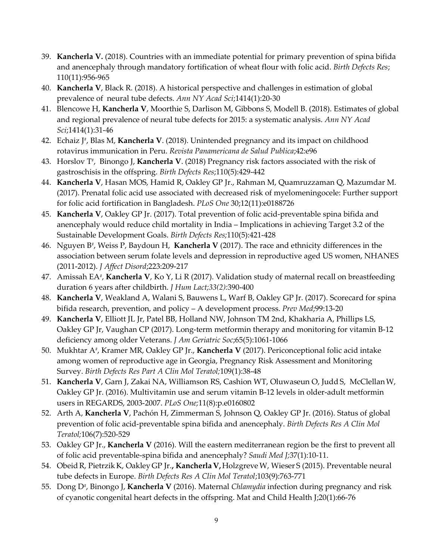- 39. **Kancherla V.** (2018). Countries with an immediate potential for primary prevention of spina bifida and anencephaly through mandatory fortification of wheat flour with folic acid. *Birth Defects Res*; 110(11):956-965
- 40. **Kancherla V**, Black R. (2018). A historical perspective and challenges in estimation of global prevalence of neural tube defects. *Ann NY Acad Sci*;1414(1):20-30
- 41. Blencowe H, **Kancherla V**, Moorthie S, Darlison M, Gibbons S, Modell B. (2018). Estimates of global and regional prevalence of neural tube defects for 2015: a systematic analysis. *Ann NY Acad Sci*;1414(1):31-46
- 42. Echaiz J<sup>#</sup>, Blas M, **Kancherla V**. (2018). Unintended pregnancy and its impact on childhood rotavirus immunication in Peru. *Revista Panamericana de Salud Publica*;42:e96
- 43. Horslov T<sup>#</sup>, Binongo J, **Kancherla V**. (2018) Pregnancy risk factors associated with the risk of gastroschisis in the offspring. *Birth Defects Res*;110(5):429-442
- 44. **Kancherla V**, Hasan MOS, Hamid R, Oakley GP Jr., Rahman M, Quamruzzaman Q, Mazumdar M. (2017). Prenatal folic acid use associated with decreased risk of myelomeningocele: Further support for folic acid fortification in Bangladesh. *PLoS One* 30;12(11):e0188726
- 45. **Kancherla V**, Oakley GP Jr. (2017). Total prevention of folic acid-preventable spina bifida and anencephaly would reduce child mortality in India – Implications in achieving Target 3.2 of the Sustainable Development Goals. *Birth Defects Res;*110(5):421-428
- 46. Nguyen B# , Weiss P, Baydoun H, **Kancherla V** (2017). The race and ethnicity differences in the association between serum folate levels and depression in reproductive aged US women, NHANES (2011-2012). *J Affect Disord*;223:209-217
- 47. Amissah EA# , **Kancherla V**, Ko Y, Li R (2017). Validation study of maternal recall on breastfeeding duration 6 years after childbirth. *J Hum Lact;33(2):*390-400
- 48. **Kancherla V**, Weakland A, Walani S, Bauwens L, Warf B, Oakley GP Jr. (2017). Scorecard for spina bifida research, prevention, and policy – A development process. *Prev Med*;99:13-20
- 49. **Kancherla V**, Elliott JL Jr, Patel BB, Holland NW, Johnson TM 2nd, Khakharia A, Phillips LS, Oakley GP Jr, Vaughan CP (2017). Long-term metformin therapy and monitoring for vitamin B-12 deficiency among older Veterans. *J Am Geriatric Soc*;65(5):1061-1066
- 50. Mukhtar A‡, Kramer MR, Oakley GP Jr., **Kancherla V** (2017). Periconceptional folic acid intake among women of reproductive age in Georgia, Pregnancy Risk Assessment and Monitoring Survey. *Birth Defects Res Part A Clin Mol Teratol;*109(1):38-48
- 51. **Kancherla V**, Garn J, Zakai NA, Williamson RS, Cashion WT, Oluwaseun O, Judd S, McClellanW, Oakley GP Jr. (2016). Multivitamin use and serum vitamin B-12 levels in older-adult metformin users in REGARDS, 2003-2007. *PLoS One;*11(8):p.e0160802
- 52. Arth A, **Kancherla V**, Pachón H, Zimmerman S, Johnson Q, Oakley GP Jr. (2016). Status of global prevention of folic acid-preventable spina bifida and anencephaly. *Birth Defects Res A Clin Mol Teratol;*106(7):520-529
- 53. Oakley GP Jr., **Kancherla V** (2016). Will the eastern mediterranean region be the first to prevent all of folic acid preventable-spina bifida and anencephaly? *Saudi Med J;*37(1):10-11.
- 54. ObeidR, PietrzikK, OakleyGP Jr.**, KancherlaV,** HolzgreveW, Wieser S (2015). Preventable neural tube defects in Europe. *Birth Defects Res A Clin Mol Teratol*;103(9):763-771
- 55. Dong D<sup>#</sup>, Binongo J, **Kancherla V** (2016). Maternal *Chlamydia* infection during pregnancy and risk of cyanotic congenital heart defects in the offspring. Mat and Child Health J;20(1):66-76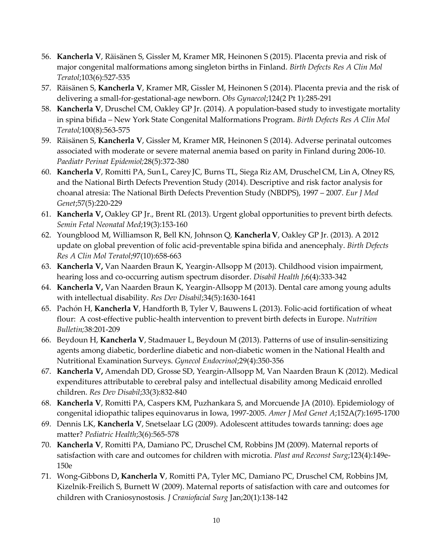- 56. **Kancherla V**, Räisänen S, Gissler M, Kramer MR, Heinonen S (2015). Placenta previa and risk of major congenital malformations among singleton births in Finland. *Birth Defects Res A Clin Mol Teratol*;103(6):527-535
- 57. Räisänen S, **Kancherla V**, Kramer MR, Gissler M, Heinonen S (2014). Placenta previa and the risk of delivering a small-for-gestational-age newborn. *Obs Gynaecol*;124(2 Pt 1):285-291
- 58. **Kancherla V**, Druschel CM, Oakley GP Jr. (2014). A population-based study to investigate mortality in spina bifida – New York State Congenital Malformations Program. *Birth Defects Res A Clin Mol Teratol;*100(8):563-575
- 59. Räisänen S, **Kancherla V**, Gissler M, Kramer MR, Heinonen S (2014). Adverse perinatal outcomes associated with moderate or severe maternal anemia based on parity in Finland during 2006-10. *Paediatr Perinat Epidemiol;*28(5):372-380
- 60. **Kancherla V**, Romitti PA, Sun L, Carey JC, Burns TL, Siega RizAM, Druschel CM, LinA, OlneyRS, and the National Birth Defects Prevention Study (2014). Descriptive and risk factor analysis for choanal atresia: The National Birth Defects Prevention Study (NBDPS), 1997 – 2007. *Eur J Med Genet*;57(5):220-229
- 61. **Kancherla V,** Oakley GP Jr., Brent RL (2013). Urgent global opportunities to prevent birth defects*. Semin Fetal Neonatal Med*;19(3):153-160
- 62. Youngblood M, Williamson R, Bell KN, Johnson Q, **KancherlaV**, Oakley GP Jr. (2013). A 2012 update on global prevention of folic acid-preventable spina bifida and anencephaly. *Birth Defects Res A Clin Mol Teratol*;97(10):658-663
- 63. **Kancherla V,** Van Naarden Braun K, Yeargin-Allsopp M (2013). Childhood vision impairment, hearing loss and co-occurring autism spectrum disorder. *Disabil Health J*;6(4):333-342
- 64. **Kancherla V,** Van Naarden Braun K, Yeargin-Allsopp M (2013). Dental care among young adults with intellectual disability. *Res Dev Disabil*;34(5):1630-1641
- 65. Pachón H, **Kancherla V**, Handforth B, Tyler V, Bauwens L (2013). Folic-acid fortification of wheat flour: A cost-effective public-health intervention to prevent birth defects in Europe. *Nutrition Bulletin;*38:201-209
- 66. Beydoun H, **Kancherla V**, Stadmauer L, Beydoun M (2013). Patterns of use of insulin-sensitizing agents among diabetic, borderline diabetic and non-diabetic women in the National Health and Nutritional Examination Surveys. *Gynecol Endocrinol*;29(4):350-356
- 67. **Kancherla V,** Amendah DD, Grosse SD, Yeargin-Allsopp M, Van Naarden Braun K (2012). Medical expenditures attributable to cerebral palsy and intellectual disability among Medicaid enrolled children. *Res Dev Disabil*;33(3):832-840
- 68. **Kancherla V**, Romitti PA, Caspers KM, Puzhankara S, and Morcuende JA (2010). Epidemiology of congenital idiopathic talipes equinovarus in Iowa, 1997-2005. *Amer J Med Genet A*;152A(7):1695-1700
- 69. Dennis LK, **Kancherla V**, Snetselaar LG (2009). Adolescent attitudes towards tanning: does age matter? *Pediatric Health*;3(6):565-578
- 70. **Kancherla V**, Romitti PA, Damiano PC, Druschel CM, Robbins JM (2009). Maternal reports of satisfaction with care and outcomes for children with microtia. *Plast and Reconst Surg*;123(4):149e-150e
- 71. Wong-Gibbons D**, Kancherla V**, Romitti PA, Tyler MC, Damiano PC, Druschel CM, Robbins JM, Kizelnik-Freilich S, Burnett W (2009). Maternal reports of satisfaction with care and outcomes for children with Craniosynostosis*. J Craniofacial Surg* Jan;20(1):138-142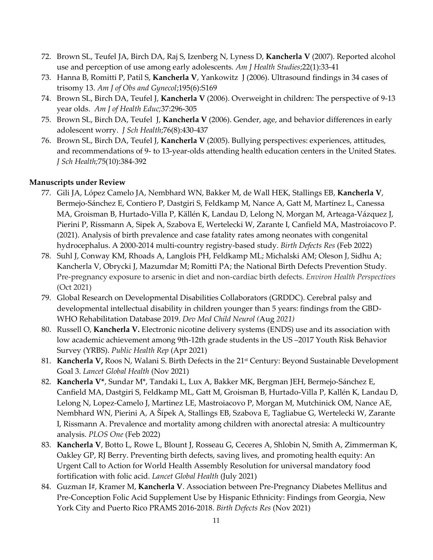- 72. Brown SL, Teufel JA, Birch DA, Raj S, Izenberg N, Lyness D, **Kancherla V** (2007). Reported alcohol use and perception of use among early adolescents. *Am J Health Studies*;22(1):33-41
- 73. Hanna B, Romitti P, Patil S, **Kancherla V**, Yankowitz J (2006). Ultrasound findings in 34 cases of trisomy 13. *Am J of Obs and Gynecol*;195(6):S169
- 74. Brown SL, Birch DA, Teufel J, **Kancherla V** (2006). Overweight in children: The perspective of 9-13 year olds. *Am J of Health Educ;*37:296-305
- 75. Brown SL, Birch DA, Teufel J, **Kancherla V** (2006). Gender, age, and behavior differences in early adolescent worry. *J Sch Health*;76(8):430-437
- 76. Brown SL, Birch DA, Teufel J, **Kancherla V** (2005). Bullying perspectives: experiences, attitudes, and recommendations of 9- to 13-year-olds attending health education centers in the United States. *J Sch Health;*75(10):384-392

#### **Manuscripts under Review**

- 77. Gili JA, López Camelo JA, Nembhard WN, Bakker M, de Wall HEK, Stallings EB, **Kancherla V**, Bermejo-Sánchez E, Contiero P, Dastgiri S, Feldkamp M, Nance A, Gatt M, Martínez L, Canessa MA, Groisman B, Hurtado-Villa P, Källén K, Landau D, Lelong N, Morgan M, Arteaga-Vázquez J, Pierini P, Rissmann A, Sipek A, Szabova E, Wertelecki W, Zarante I, Canfield MA, Mastroiacovo P. (2021). Analysis of birth prevalence and case fatality rates among neonates with congenital hydrocephalus. A 2000-2014 multi-country registry-based study. *Birth Defects Res* (Feb 2022)
- 78. Suhl J, Conway KM, Rhoads A, Langlois PH, Feldkamp ML; Michalski AM; Oleson J, Sidhu A; Kancherla V, Obrycki J, Mazumdar M; Romitti PA; the National Birth Defects Prevention Study. Pre-pregnancy exposure to arsenic in diet and non-cardiac birth defects. *Environ Health Perspectives* (Oct 2021)
- 79. Global Research on Developmental Disabilities Collaborators (GRDDC). Cerebral palsy and developmental intellectual disability in children younger than 5 years: findings from the GBD-WHO Rehabilitation Database 2019. *Dev Med Child Neurol (*Aug *2021)*
- 80. Russell O, **Kancherla V.** Electronic nicotine delivery systems (ENDS) use and its association with low academic achievement among 9th-12th grade students in the US –2017 Youth Risk Behavior Survey (YRBS). *Public Health Rep* (Apr 2021)
- 81. **Kancherla V,** Roos N, Walani S. Birth Defects in the 21st Century: Beyond Sustainable Development Goal 3. *Lancet Global Health* (Nov 2021)
- 82. **Kancherla V\***, Sundar M\*, Tandaki L, Lux A, Bakker MK, Bergman JEH, Bermejo-Sánchez E, Canfield MA, Dastgiri S, Feldkamp ML, Gatt M, Groisman B, Hurtado-Villa P, Kallén K, Landau D, Lelong N, Lopez-Camelo J, Martinez LE, Mastroiacovo P, Morgan M, Mutchinick OM, Nance AE, Nembhard WN, Pierini A, A Šípek A, Stallings EB, Szabova E, Tagliabue G, Wertelecki W, Zarante I, Rissmann A. Prevalence and mortality among children with anorectal atresia: A multicountry analysis. *PLOS One* (Feb 2022)
- 83. **Kancherla V**, Botto L, Rowe L, Blount J, Rosseau G, Ceceres A, Shlobin N, Smith A, Zimmerman K, Oakley GP, RJ Berry. Preventing birth defects, saving lives, and promoting health equity: An Urgent Call to Action for World Health Assembly Resolution for universal mandatory food fortification with folic acid. *Lancet Global Health* (July 2021)
- 84. Guzman I#, Kramer M, **Kancherla V**. Association between Pre-Pregnancy Diabetes Mellitus and Pre-Conception Folic Acid Supplement Use by Hispanic Ethnicity: Findings from Georgia, New York City and Puerto Rico PRAMS 2016-2018. *Birth Defects Res* (Nov 2021)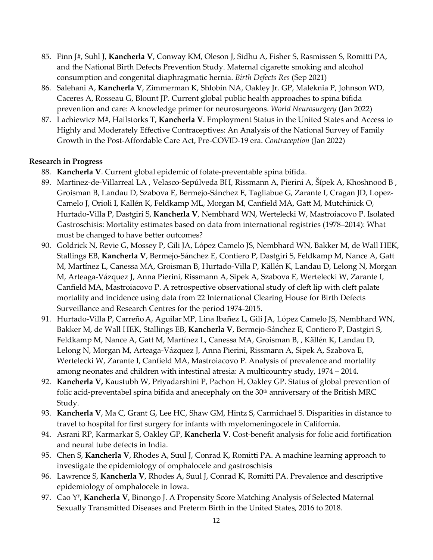- 85. Finn J#, Suhl J, **Kancherla V**, Conway KM, Oleson J, Sidhu A, Fisher S, Rasmissen S, Romitti PA, and the National Birth Defects Prevention Study. Maternal cigarette smoking and alcohol consumption and congenital diaphragmatic hernia. *Birth Defects Res* (Sep 2021)
- 86. Salehani A, **Kancherla V**, Zimmerman K, Shlobin NA, Oakley Jr. GP, Maleknia P, Johnson WD, Caceres A, Rosseau G, Blount JP. Current global public health approaches to spina bifida prevention and care: A knowledge primer for neurosurgeons. *World Neurosurgery* (Jan 2022)
- 87. Lachiewicz M#, Hailstorks T, **Kancherla V**. Employment Status in the United States and Access to Highly and Moderately Effective Contraceptives: An Analysis of the National Survey of Family Growth in the Post-Affordable Care Act, Pre-COVID-19 era. *Contraception* (Jan 2022)

## **Research in Progress**

- 88. **Kancherla V**. Current global epidemic of folate-preventable spina bifida.
- 89. Martinez-de-Villarreal LA , Velasco-Sepúlveda BH, Rissmann A, Pierini A, Šípek A, Khoshnood B , Groisman B, Landau D, Szabova E, Bermejo-Sánchez E, Tagliabue G, Zarante I, Cragan JD, Lopez-Camelo J, Orioli I, Kallén K, Feldkamp ML, Morgan M, Canfield MA, Gatt M, Mutchinick O, Hurtado-Villa P, Dastgiri S, **Kancherla V**, Nembhard WN, Wertelecki W, Mastroiacovo P. Isolated Gastroschisis: Mortality estimates based on data from international registries (1978–2014): What must be changed to have better outcomes?
- 90. Goldrick N, Revie G, Mossey P, Gili JA, López Camelo JS, Nembhard WN, Bakker M, de Wall HEK, Stallings EB, **Kancherla V**, Bermejo-Sánchez E, Contiero P, Dastgiri S, Feldkamp M, Nance A, Gatt M, Martínez L, Canessa MA, Groisman B, Hurtado-Villa P, Källén K, Landau D, Lelong N, Morgan M, Arteaga-Vázquez J, Anna Pierini, Rissmann A, Sipek A, Szabova E, Wertelecki W, Zarante I, Canfield MA, Mastroiacovo P. A retrospective observational study of cleft lip with cleft palate mortality and incidence using data from 22 International Clearing House for Birth Defects Surveillance and Research Centres for the period 1974-2015.
- 91. Hurtado-Villa P, Carreño A, Aguilar MP, Lina Ibañez L, Gili JA, López Camelo JS, Nembhard WN, Bakker M, de Wall HEK, Stallings EB, **Kancherla V**, Bermejo-Sánchez E, Contiero P, Dastgiri S, Feldkamp M, Nance A, Gatt M, Martínez L, Canessa MA, Groisman B, , Källén K, Landau D, Lelong N, Morgan M, Arteaga-Vázquez J, Anna Pierini, Rissmann A, Sipek A, Szabova E, Wertelecki W, Zarante I, Canfield MA, Mastroiacovo P. Analysis of prevalence and mortality among neonates and children with intestinal atresia: A multicountry study, 1974 – 2014.
- 92. **Kancherla V,** Kaustubh W, Priyadarshini P, Pachon H, Oakley GP. Status of global prevention of folic acid-preventabel spina bifida and anecephaly on the 30<sup>th</sup> anniversary of the British MRC Study.
- 93. **Kancherla V**, Ma C, Grant G, Lee HC, Shaw GM, Hintz S, Carmichael S. Disparities in distance to travel to hospital for first surgery for infants with myelomeningocele in California.
- 94. Asrani RP, Karmarkar S, Oakley GP, **Kancherla V**. Cost-benefit analysis for folic acid fortification and neural tube defects in India.
- 95. Chen S, **Kancherla V**, Rhodes A, Suul J, Conrad K, Romitti PA. A machine learning approach to investigate the epidemiology of omphalocele and gastroschisis
- 96. Lawrence S, **Kancherla V**, Rhodes A, Suul J, Conrad K, Romitti PA. Prevalence and descriptive epidemiology of omphalocele in Iowa.
- 97. Cao Y<sup>#</sup>, **Kancherla V**, Binongo J. A Propensity Score Matching Analysis of Selected Maternal Sexually Transmitted Diseases and Preterm Birth in the United States, 2016 to 2018.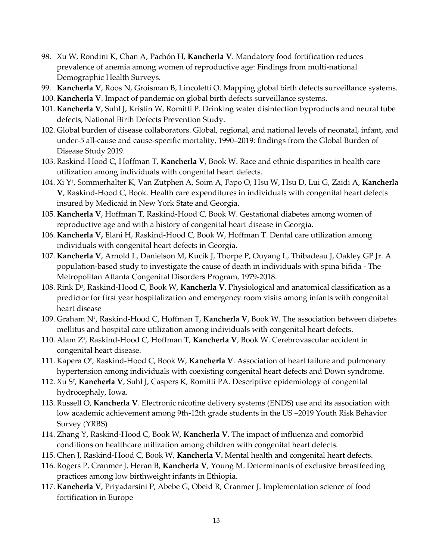- 98. Xu W, Rondini K, Chan A, Pachón H, **Kancherla V**. Mandatory food fortification reduces prevalence of anemia among women of reproductive age: Findings from multi-national Demographic Health Surveys.
- 99. **Kancherla V**, Roos N, Groisman B, Lincoletti O. Mapping global birth defects surveillance systems.
- 100. **Kancherla V**. Impact of pandemic on global birth defects surveillance systems.
- 101. **Kancherla V**, Suhl J, Kristin W, Romitti P. Drinking water disinfection byproducts and neural tube defects, National Birth Defects Prevention Study.
- 102. Global burden of disease collaborators. Global, regional, and national levels of neonatal, infant, and under-5 all-cause and cause-specific mortality, 1990–2019: findings from the Global Burden of Disease Study 2019.
- 103. Raskind-Hood C, Hoffman T, **Kancherla V**, Book W. Race and ethnic disparities in health care utilization among individuals with congenital heart defects.
- 104. Xi Y# , Sommerhalter K, Van Zutphen A, Soim A, Fapo O, Hsu W, Hsu D, Lui G, Zaidi A, **Kancherla V**, Raskind-Hood C, Book. Health care expenditures in individuals with congenital heart defects insured by Medicaid in New York State and Georgia.
- 105. **Kancherla V**, Hoffman T, Raskind-Hood C, Book W. Gestational diabetes among women of reproductive age and with a history of congenital heart disease in Georgia.
- 106. **Kancherla V,** Elani H, Raskind-Hood C, Book W, Hoffman T. Dental care utilization among individuals with congenital heart defects in Georgia.
- 107. **Kancherla V**, Arnold L, Danielson M, Kucik J, Thorpe P, Ouyang L, Thibadeau J, Oakley GP Jr. A population-based study to investigate the cause of death in individuals with spina bifida - The Metropolitan Atlanta Congenital Disorders Program, 1979-2018.
- 108. Rink D<sup>#</sup>, Raskind-Hood C, Book W, **Kancherla V**. Physiological and anatomical classification as a predictor for first year hospitalization and emergency room visits among infants with congenital heart disease
- 109. Graham N# , Raskind-Hood C, Hoffman T, **Kancherla V**, Book W. The association between diabetes mellitus and hospital care utilization among individuals with congenital heart defects.
- 110. Alam Z#, Raskind-Hood C, Hoffman T, **Kancherla V**, Book W. Cerebrovascular accident in congenital heart disease.
- 111. Kapera O<sup>#</sup>, Raskind-Hood C, Book W, **Kancherla V**. Association of heart failure and pulmonary hypertension among individuals with coexisting congenital heart defects and Down syndrome.
- 112. Xu S<sup>#</sup>, **Kancherla V**, Suhl J, Caspers K, Romitti PA. Descriptive epidemiology of congenital hydrocephaly, Iowa.
- 113. Russell O, **Kancherla V**. Electronic nicotine delivery systems (ENDS) use and its association with low academic achievement among 9th-12th grade students in the US –2019 Youth Risk Behavior Survey (YRBS)
- 114. Zhang Y, Raskind-Hood C, Book W, **Kancherla V**. The impact of influenza and comorbid conditions on healthcare utilization among children with congenital heart defects.
- 115. Chen J, Raskind-Hood C, Book W, **Kancherla V.** Mental health and congenital heart defects.
- 116. Rogers P, Cranmer J, Heran B, **Kancherla V**, Young M. Determinants of exclusive breastfeeding practices among low birthweight infants in Ethiopia.
- 117. **Kancherla V**, Priyadarsini P, Abebe G, Obeid R, Cranmer J. Implementation science of food fortification in Europe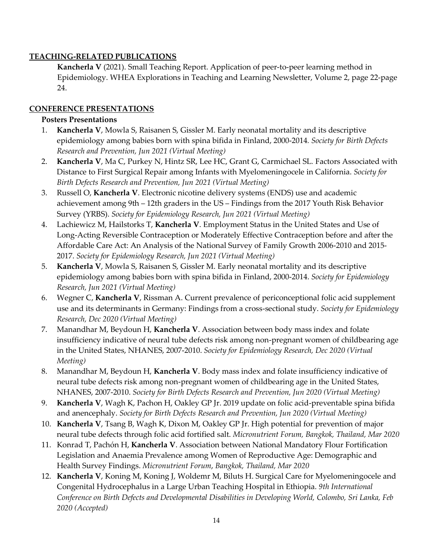## **TEACHING-RELATED PUBLICATIONS**

**Kancherla V** (2021). Small Teaching Report. Application of peer-to-peer learning method in Epidemiology. WHEA Explorations in Teaching and Learning Newsletter, Volume 2, page 22-page 24.

## **CONFERENCE PRESENTATIONS**

## **Posters Presentations**

- 1. **Kancherla V**, Mowla S, Raisanen S, Gissler M. Early neonatal mortality and its descriptive epidemiology among babies born with spina bifida in Finland, 2000-2014*. Society for Birth Defects Research and Prevention, Jun 2021 (Virtual Meeting)*
- 2. **Kancherla V**, Ma C, Purkey N, Hintz SR, Lee HC, Grant G, Carmichael SL*.* Factors Associated with Distance to First Surgical Repair among Infants with Myelomeningocele in California. *Society for Birth Defects Research and Prevention, Jun 2021 (Virtual Meeting)*
- 3. Russell O, **Kancherla V**. Electronic nicotine delivery systems (ENDS) use and academic achievement among 9th – 12th graders in the US – Findings from the 2017 Youth Risk Behavior Survey (YRBS). *Society for Epidemiology Research, Jun 2021 (Virtual Meeting)*
- 4. Lachiewicz M, Hailstorks T, **Kancherla V**. Employment Status in the United States and Use of Long-Acting Reversible Contraception or Moderately Effective Contraception before and after the Affordable Care Act: An Analysis of the National Survey of Family Growth 2006-2010 and 2015- 2017. *Society for Epidemiology Research, Jun 2021 (Virtual Meeting)*
- 5. **Kancherla V**, Mowla S, Raisanen S, Gissler M. Early neonatal mortality and its descriptive epidemiology among babies born with spina bifida in Finland, 2000-2014. *Society for Epidemiology Research, Jun 2021 (Virtual Meeting)*
- 6. Wegner C, **Kancherla V**, Rissman A. Current prevalence of periconceptional folic acid supplement use and its determinants in Germany: Findings from a cross-sectional study. *Society for Epidemiology Research, Dec 2020 (Virtual Meeting)*
- 7. Manandhar M, Beydoun H, **Kancherla V**. Association between body mass index and folate insufficiency indicative of neural tube defects risk among non-pregnant women of childbearing age in the United States, NHANES, 2007-2010. *Society for Epidemiology Research, Dec 2020 (Virtual Meeting)*
- 8. Manandhar M, Beydoun H, **Kancherla V**. Body mass index and folate insufficiency indicative of neural tube defects risk among non-pregnant women of childbearing age in the United States, NHANES, 2007-2010. *Society for Birth Defects Research and Prevention, Jun 2020 (Virtual Meeting)*
- 9. **Kancherla V**, Wagh K, Pachon H, Oakley GP Jr. 2019 update on folic acid-preventable spina bifida and anencephaly. *Society for Birth Defects Research and Prevention, Jun 2020 (Virtual Meeting)*
- 10. **Kancherla V**, Tsang B, Wagh K, Dixon M, Oakley GP Jr. High potential for prevention of major neural tube defects through folic acid fortified salt. *Micronutrient Forum, Bangkok, Thailand, Mar 2020*
- 11. Konrad T, Pachón H, **Kancherla V**. Association between National Mandatory Flour Fortification Legislation and Anaemia Prevalence among Women of Reproductive Age: Demographic and Health Survey Findings. *Micronutrient Forum*, *Bangkok, Thailand, Mar 2020*
- 12. **Kancherla V**, Koning M, Koning J, Woldemr M, Biluts H. Surgical Care for Myelomeningocele and Congenital Hydrocephalus in a Large Urban Teaching Hospital in Ethiopia. *9th International Conference on Birth Defects and Developmental Disabilities in Developing World, Colombo, Sri Lanka, Feb 2020 (Accepted)*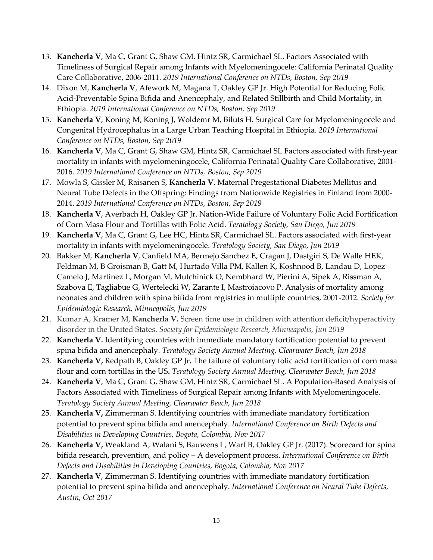- 13. **Kancherla V**, Ma C, Grant G, Shaw GM, Hintz SR, Carmichael SL. Factors Associated with Timeliness of Surgical Repair among Infants with Myelomeningocele: California Perinatal Quality Care Collaborative, 2006-2011. *2019 International Conference on NTDs, Boston, Sep 2019*
- 14. Dixon M, **Kancherla V**, Afework M, Magana T, Oakley GP Jr. High Potential for Reducing Folic Acid-Preventable Spina Bifida and Anencephaly, and Related Stillbirth and Child Mortality, in Ethiopia. *2019 International Conference on NTDs, Boston, Sep 2019*
- 15. **Kancherla V**, Koning M, Koning J, Woldemr M, Biluts H. Surgical Care for Myelomeningocele and Congenital Hydrocephalus in a Large Urban Teaching Hospital in Ethiopia. *2019 International Conference on NTDs, Boston, Sep 2019*
- 16. **Kancherla V**, Ma C, Grant G, Shaw GM, Hintz SR, Carmichael SL Factors associated with first-year mortality in infants with myelomeningocele, California Perinatal Quality Care Collaborative, 2001- 2016. *2019 International Conference on NTDs, Boston, Sep 2019*
- 17. Mowla S, Gissler M, Raisanen S, **Kancherla V**. Maternal Pregestational Diabetes Mellitus and Neural Tube Defects in the Offspring: Findings from Nationwide Registries in Finland from 2000- 2014. *2019 International Conference on NTDs, Boston, Sep 2019*
- 18. **Kancherla V**, Averbach H, Oakley GP Jr. Nation-Wide Failure of Voluntary Folic Acid Fortification of Corn Masa Flour and Tortillas with Folic Acid. *Teratology Society, San Diego, Jun 2019*
- 19. **Kancherla V**, Ma C, Grant G, Lee HC, Hintz SR, Carmichael SL. Factors associated with first-year mortality in infants with myelomeningocele. *Teratology Society, San Diego, Jun 2019*
- 20. Bakker M, **Kancherla V**, Canfield MA, Bermejo Sanchez E, Cragan J, Dastgiri S, De Walle HEK, Feldman M, B Groisman B, Gatt M, Hurtado Villa PM, Kallen K, Koshnood B, Landau D, Lopez Camelo J, Martinez L, Morgan M, Mutchinick O, Nembhard W, Pierini A, Sipek A, Rissman A, Szabova E, Tagliabue G, Wertelecki W, Zarante I, Mastroiacovo P. Analysis of mortality among neonates and children with spina bifida from registries in multiple countries, 2001-2012*. Society for Epidemiologic Research, Minneapolis, Jun 2019*
- 21. Kumar A, Kramer M, **Kancherla V.** Screen time use in children with attention deficit/hyperactivity disorder in the United States. *Society for Epidemiologic Research, Minneapolis, Jun 2019*
- 22. **Kancherla V.** Identifying countries with immediate mandatory fortification potential to prevent spina bifida and anencephaly. *Teratology Society Annual Meeting, Clearwater Beach, Jun 2018*
- 23. **Kancherla V,** Redpath B, Oakley GP Jr**.** The failure of voluntary folic acid fortification of corn masa flour and corn tortillas in the US**.** *Teratology Society Annual Meeting, Clearwater Beach, Jun 2018*
- 24. **Kancherla V**, Ma C, Grant G, Shaw GM, Hintz SR, Carmichael SL. A Population-Based Analysis of Factors Associated with Timeliness of Surgical Repair among Infants with Myelomeningocele. *Teratology Society Annual Meeting, Clearwater Beach, Jun 2018*
- 25. **Kancherla V,** Zimmerman S. Identifying countries with immediate mandatory fortification potential to prevent spina bifida and anencephaly. *International Conference on Birth Defects and Disabilities in Developing Countries, Bogota, Colombia, Nov 2017*
- 26. **Kancherla V,** Weakland A, Walani S, Bauwens L, Warf B, Oakley GP Jr. (2017). Scorecard for spina bifida research, prevention, and policy – A development process. *International Conference on Birth Defects and Disabilities in Developing Countries, Bogota, Colombia, Nov 2017*
- 27. **Kancherla V**, Zimmerman S. Identifying countries with immediate mandatory fortification potential to prevent spina bifida and anencephaly. *International Conference on Neural Tube Defects, Austin, Oct 2017*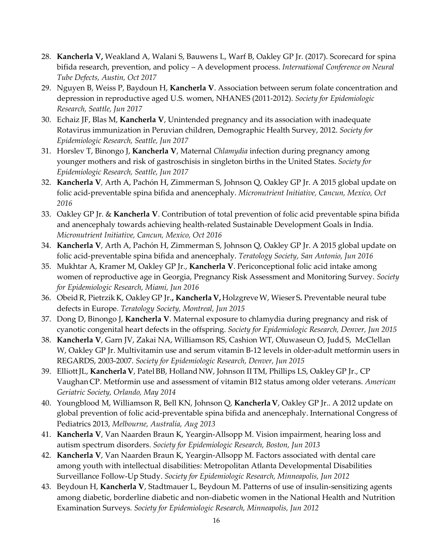- 28. **Kancherla V,** Weakland A, Walani S, Bauwens L, Warf B, Oakley GP Jr. (2017). Scorecard for spina bifida research, prevention, and policy – A development process. *International Conference on Neural Tube Defects, Austin, Oct 2017*
- 29. Nguyen B, Weiss P, Baydoun H, **Kancherla V**. Association between serum folate concentration and depression in reproductive aged U.S. women, NHANES (2011-2012). *Society for Epidemiologic Research, Seattle, Jun 2017*
- 30. Echaiz JF, Blas M, **Kancherla V**, Unintended pregnancy and its association with inadequate Rotavirus immunization in Peruvian children, Demographic Health Survey, 2012. *Society for Epidemiologic Research, Seattle, Jun 2017*
- 31. Horslev T, Binongo J, **Kancherla V**, Maternal *Chlamydia* infection during pregnancy among younger mothers and risk of gastroschisis in singleton births in the United States. *Society for Epidemiologic Research, Seattle, Jun 2017*
- 32. **Kancherla V***,* Arth A, Pachón H, Zimmerman S, Johnson Q, Oakley GP Jr. A 2015 global update on folic acid-preventable spina bifida and anencephaly. *Micronutrient Initiative, Cancun, Mexico, Oct 2016*
- 33. Oakley GP Jr. & **Kancherla V**. Contribution of total prevention of folic acid preventable spina bifida and anencephaly towards achieving health-related Sustainable Development Goals in India. *Micronutrient Initiative, Cancun, Mexico, Oct 2016*
- 34. **Kancherla V***,* Arth A, Pachón H, Zimmerman S, Johnson Q, Oakley GP Jr. A 2015 global update on folic acid-preventable spina bifida and anencephaly. *Teratology Society*, *San Antonio, Jun 2016*
- 35. Mukhtar A, Kramer M, Oakley GP Jr., **Kancherla V**. Periconceptional folic acid intake among women of reproductive age in Georgia, Pregnancy Risk Assessment and Monitoring Survey. *Society for Epidemiologic Research, Miami, Jun 2016*
- 36. ObeidR, PietrzikK, OakleyGP Jr.**, KancherlaV,** HolzgreveW, Wieser S**.** Preventable neural tube defects in Europe. *Teratology Society, Montreal, Jun 2015*
- 37. Dong D, Binongo J, **Kancherla V**. Maternal exposure to chlamydia during pregnancy and risk of cyanotic congenital heart defects in the offspring. *Society for Epidemiologic Research, Denver, Jun 2015*
- 38. **Kancherla V**, Garn JV, Zakai NA, Williamson RS, Cashion WT, Oluwaseun O, Judd S, McClellan W, Oakley GP Jr. Multivitamin use and serum vitamin B-12 levels in older-adult metformin users in REGARDS, 2003-2007. *Society for Epidemiologic Research, Denver, Jun 2015*
- 39. ElliottJL, **KancherlaV**, Patel BB, Holland NW, Johnson II TM, Phillips LS, Oakley GP Jr., CP Vaughan CP. Metformin use and assessment of vitamin B12 status among older veterans. *American Geriatric Society, Orlando, May 2014*
- 40. Youngblood M, Williamson R, Bell KN, Johnson Q, **KancherlaV**, Oakley GP Jr.. A 2012 update on global prevention of folic acid-preventable spina bifida and anencephaly. International Congress of Pediatrics 2013, *Melbourne, Australia, Aug 2013*
- 41. **Kancherla V**, Van Naarden Braun K, Yeargin-Allsopp M. Vision impairment, hearing loss and autism spectrum disorders. *Society for Epidemiologic Research, Boston, Jun 2013*
- 42. **Kancherla V**, Van Naarden Braun K, Yeargin-Allsopp M. Factors associated with dental care among youth with intellectual disabilities: Metropolitan Atlanta Developmental Disabilities Surveillance Follow-Up Study. *Society for Epidemiologic Research, Minneapolis, Jun 2012*
- 43. Beydoun H, **Kancherla V**, Stadtmauer L, Beydoun M. Patterns of use of insulin-sensitizing agents among diabetic, borderline diabetic and non-diabetic women in the National Health and Nutrition Examination Surveys*. Society for Epidemiologic Research, Minneapolis, Jun 2012*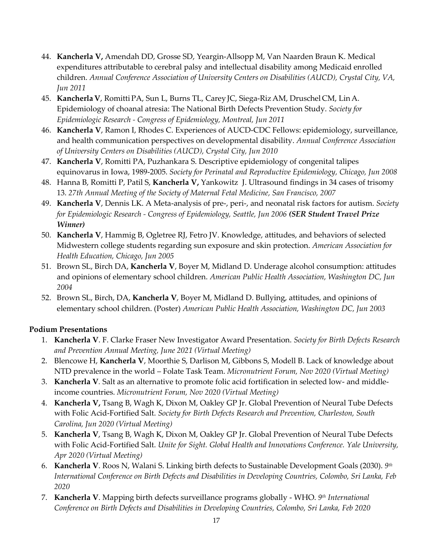- 44. **Kancherla V,** Amendah DD, Grosse SD, Yeargin-Allsopp M, Van Naarden Braun K. Medical expenditures attributable to cerebral palsy and intellectual disability among Medicaid enrolled children. *Annual Conference Association of University Centers on Disabilities (AUCD), Crystal City, VA, Jun 2011*
- 45. **KancherlaV**, RomittiPA, Sun L, Burns TL, CareyJC, Siega-RizAM, Druschel CM, LinA. Epidemiology of choanal atresia: The National Birth Defects Prevention Study. *Society for Epidemiologic Research - Congress of Epidemiology, Montreal, Jun 2011*
- 46. **Kancherla V**, Ramon I, Rhodes C. Experiences of AUCD-CDC Fellows: epidemiology, surveillance, and health communication perspectives on developmental disability. *Annual Conference Association of University Centers on Disabilities (AUCD), Crystal City, Jun 2010*
- 47. **Kancherla V**, Romitti PA, Puzhankara S. Descriptive epidemiology of congenital talipes equinovarus in Iowa, 1989-2005. *Society for Perinatal and Reproductive Epidemiology, Chicago, Jun 2008*
- 48. Hanna B, Romitti P, Patil S, **Kancherla V,** Yankowitz J[. Ultrasound findings in 34 cases of trisomy](http://apps.webofknowledge.com/full_record.do?product=WOS&search_mode=AuthorFinder&qid=7&SID=4C2hjJoEJhL1GC8D7n6&page=2&doc=15)  [13.](http://apps.webofknowledge.com/full_record.do?product=WOS&search_mode=AuthorFinder&qid=7&SID=4C2hjJoEJhL1GC8D7n6&page=2&doc=15) *27th Annual Meeting of the Society of Maternal Fetal Medicine, San Francisco, 2007*
- 49. **Kancherla V**, Dennis LK. A Meta-analysis of pre-, peri-, and neonatal risk factors for autism. *Society for Epidemiologic Research - Congress of Epidemiology, Seattle, Jun 2006 (SER Student Travel Prize Winner)*
- 50. **Kancherla V**, Hammig B, Ogletree RJ, Fetro JV. Knowledge, attitudes, and behaviors of selected Midwestern college students regarding sun exposure and skin protection. *American Association for Health Education, Chicago, Jun 2005*
- 51. Brown SL, Birch DA, **Kancherla V**, Boyer M, Midland D. Underage alcohol consumption: attitudes and opinions of elementary school children. *American Public Health Association, Washington DC, Jun 2004*
- 52. Brown SL, Birch, DA, **Kancherla V**, Boyer M, Midland D. Bullying, attitudes, and opinions of elementary school children. (Poster) *American Public Health Association, Washington DC, Jun 2003*

# **Podium Presentations**

- 1. **Kancherla V**. F. Clarke Fraser New Investigator Award Presentation. *Society for Birth Defects Research and Prevention Annual Meeting, June 2021 (Virtual Meeting)*
- 2. Blencowe H, **Kancherla V**, Moorthie S, Darlison M, Gibbons S, Modell B. Lack of knowledge about NTD prevalence in the world – Folate Task Team. *Micronutrient Forum, Nov 2020 (Virtual Meeting)*
- 3. **Kancherla V***.* Salt as an alternative to promote folic acid fortification in selected low- and middleincome countries. *Micronutrient Forum, Nov 2020 (Virtual Meeting)*
- 4. **Kancherla V,** Tsang B, Wagh K, Dixon M, Oakley GP Jr. Global Prevention of Neural Tube Defects with Folic Acid-Fortified Salt. *Society for Birth Defects Research and Prevention, Charleston, South Carolina, Jun 2020 (Virtual Meeting)*
- 5. **Kancherla V**, Tsang B, Wagh K, Dixon M, Oakley GP Jr. Global Prevention of Neural Tube Defects with Folic Acid-Fortified Salt. *Unite for Sight. Global Health and Innovations Conference. Yale University, Apr 2020 (Virtual Meeting)*
- 6. **Kancherla V**. Roos N, Walani S. Linking birth defects to Sustainable Development Goals (2030). *9 th International Conference on Birth Defects and Disabilities in Developing Countries, Colombo, Sri Lanka, Feb 2020*
- 7. **Kancherla V**. Mapping birth defects surveillance programs globally WHO. *9 th International Conference on Birth Defects and Disabilities in Developing Countries, Colombo, Sri Lanka, Feb 2020*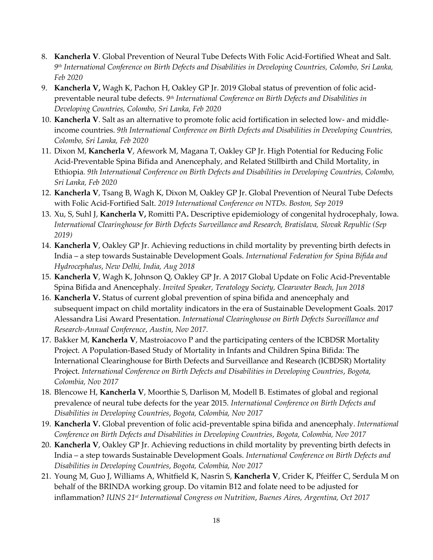- 8. **Kancherla V**. Global Prevention of Neural Tube Defects With Folic Acid-Fortified Wheat and Salt. *9 th International Conference on Birth Defects and Disabilities in Developing Countries, Colombo, Sri Lanka, Feb 2020*
- 9. **Kancherla V,** Wagh K, Pachon H, Oakley GP Jr. 2019 Global status of prevention of folic acidpreventable neural tube defects. *9 th International Conference on Birth Defects and Disabilities in Developing Countries, Colombo, Sri Lanka, Feb 2020*
- 10. **Kancherla V**. Salt as an alternative to promote folic acid fortification in selected low- and middleincome countries. *9th International Conference on Birth Defects and Disabilities in Developing Countries, Colombo, Sri Lanka, Feb 2020*
- 11. Dixon M, **Kancherla V**, Afework M, Magana T, Oakley GP Jr. High Potential for Reducing Folic Acid-Preventable Spina Bifida and Anencephaly, and Related Stillbirth and Child Mortality, in Ethiopia*. 9th International Conference on Birth Defects and Disabilities in Developing Countries, Colombo, Sri Lanka, Feb 2020*
- 12. **Kancherla V**, Tsang B, Wagh K, Dixon M, Oakley GP Jr. Global Prevention of Neural Tube Defects with Folic Acid-Fortified Salt. *2019 International Conference on NTDs. Boston, Sep 2019*
- 13. Xu, S, Suhl J, **Kancherla V,** Romitti PA**.** Descriptive epidemiology of congenital hydrocephaly, Iowa. *International Clearinghouse for Birth Defects Surveillance and Research, Bratislava, Slovak Republic (Sep 2019)*
- 14. **Kancherla V**, Oakley GP Jr. Achieving reductions in child mortality by preventing birth defects in India – a step towards Sustainable Development Goals. *International Federation for Spina Bifida and Hydrocephalus*, *New Delhi, India, Aug 2018*
- 15. **Kancherla V**, Wagh K, Johnson Q, Oakley GP Jr. A 2017 Global Update on Folic Acid-Preventable Spina Bifida and Anencephaly. *Invited Speaker, Teratology Society, Clearwater Beach, Jun 2018*
- 16. **Kancherla V.** Status of current global prevention of spina bifida and anencephaly and subsequent impact on child mortality indicators in the era of Sustainable Development Goals. 2017 Alessandra Lisi Award Presentation. *International Clearinghouse on Birth Defects Surveillance and Research-Annual Conference*, *Austin, Nov 2017.*
- 17. Bakker M, **Kancherla V**, Mastroiacovo P and the participating centers of the ICBDSR Mortality Project. A Population-Based Study of Mortality in Infants and Children Spina Bifida: The International Clearinghouse for Birth Defects and Surveillance and Research (ICBDSR) Mortality Project. *International Conference on Birth Defects and Disabilities in Developing Countries*, *Bogota, Colombia, Nov 2017*
- 18. Blencowe H, **Kancherla V**, Moorthie S, Darlison M, Modell B. Estimates of global and regional prevalence of neural tube defects for the year 2015. *International Conference on Birth Defects and Disabilities in Developing Countries*, *Bogota, Colombia, Nov 2017*
- 19. **Kancherla V.** Global prevention of folic acid-preventable spina bifida and anencephaly. *International Conference on Birth Defects and Disabilities in Developing Countries*, *Bogota, Colombia, Nov 2017*
- 20. **Kancherla V**, Oakley GP Jr. Achieving reductions in child mortality by preventing birth defects in India – a step towards Sustainable Development Goals. *International Conference on Birth Defects and Disabilities in Developing Countries*, *Bogota, Colombia, Nov 2017*
- 21. Young M, Guo J, Williams A, Whitfield K, Nasrin S, **Kancherla V**, Crider K, Pfeiffer C, Serdula M on behalf of the BRINDA working group. Do vitamin B12 and folate need to be adjusted for inflammation? *IUNS 21st International Congress on Nutrition*, *Buenes Aires, Argentina, Oct 2017*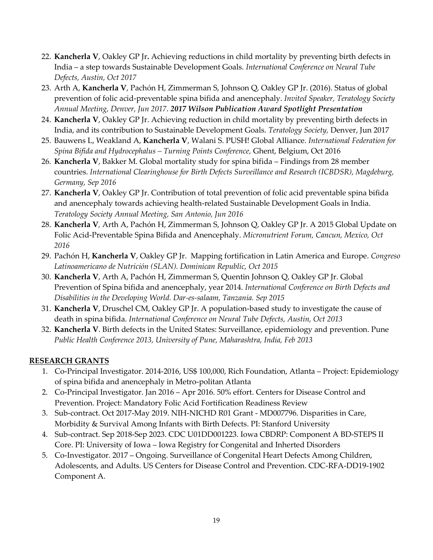- 22. **Kancherla V**, Oakley GP Jr**.** Achieving reductions in child mortality by preventing birth defects in India – a step towards Sustainable Development Goals. *International Conference on Neural Tube Defects, Austin, Oct 2017*
- 23. Arth A, **Kancherla V**, Pachón H, Zimmerman S, Johnson Q, Oakley GP Jr. (2016). Status of global prevention of folic acid-preventable spina bifida and anencephaly. *Invited Speaker, Teratology Society Annual Meeting, Denver, Jun 2017*. *2017 Wilson Publication Award Spotlight Presentation*
- 24. **Kancherla V**, Oakley GP Jr. Achieving reduction in child mortality by preventing birth defects in India, and its contribution to Sustainable Development Goals. *Teratology Society,* Denver, Jun 2017
- 25. Bauwens L, Weakland A, **Kancherla V**, Walani S. PUSH! Global Alliance. *International Federation for Spina Bifida and Hydrocephalus – Turning Points Conference,* Ghent, Belgium, Oct 2016
- 26. **Kancherla V**, Bakker M. Global mortality study for spina bifida Findings from 28 member countries. *International Clearinghouse for Birth Defects Surveillance and Research (ICBDSR), Magdeburg, Germany, Sep 2016*
- 27. **Kancherla V**, Oakley GP Jr. Contribution of total prevention of folic acid preventable spina bifida and anencephaly towards achieving health-related Sustainable Development Goals in India. *Teratology Society Annual Meeting, San Antonio, Jun 2016*
- 28. **Kancherla V***,* Arth A, Pachón H, Zimmerman S, Johnson Q, Oakley GP Jr. A 2015 Global Update on Folic Acid-Preventable Spina Bifida and Anencephaly. *Micronutrient Forum, Cancun, Mexico, Oct 2016*
- 29. Pachón H, **Kancherla V**, Oakley GP Jr. Mapping fortification in Latin America and Europe. *Congreso Latinoamericano de Nutrición (SLAN). Dominican Republic, Oct 2015*
- 30. **Kancherla V**, Arth A, Pachón H, Zimmerman S, Quentin Johnson Q, Oakley GP Jr. Global Prevention of Spina bifida and anencephaly, year 2014. *International Conference on Birth Defects and Disabilities in the Developing World. Dar-es-salaam, Tanzania. Sep 2015*
- 31. **Kancherla V**, Druschel CM, Oakley GP Jr. A population-based study to investigate the cause of death in spina bifida. *International Conference on Neural Tube Defects, Austin, Oct 2013*
- 32. **Kancherla V**. Birth defects in the United States: Surveillance, epidemiology and prevention. Pune *Public Health Conference 2013, University of Pune, Maharashtra, India, Feb 2013*

# **RESEARCH GRANTS**

- 1. Co-Principal Investigator. 2014-2016, US\$ 100,000, Rich Foundation, Atlanta Project: Epidemiology of spina bifida and anencephaly in Metro-politan Atlanta
- 2. Co-Principal Investigator. Jan 2016 Apr 2016. 50% effort. Centers for Disease Control and Prevention. Project: Mandatory Folic Acid Fortification Readiness Review
- 3. Sub-contract. Oct 2017-May 2019. NIH-NICHD R01 Grant MD007796. Disparities in Care, Morbidity & Survival Among Infants with Birth Defects. PI: Stanford University
- 4. Sub-contract. Sep 2018-Sep 2023. CDC U01DD001223. Iowa CBDRP: Component A BD-STEPS II Core. PI: University of Iowa – Iowa Registry for Congenital and Inherted Disorders
- 5. Co-Investigator. 2017 Ongoing. Surveillance of Congenital Heart Defects Among Children, Adolescents, and Adults. US Centers for Disease Control and Prevention. CDC-RFA-DD19-1902 Component A.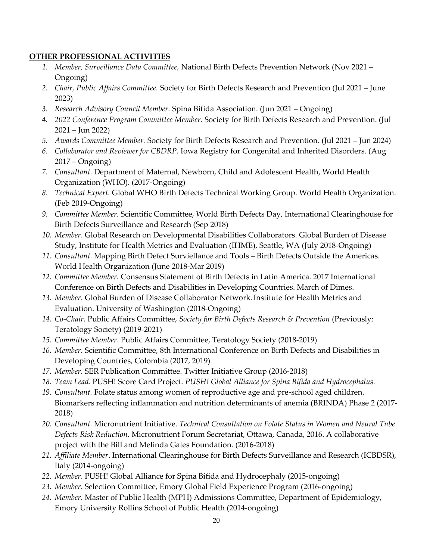#### **OTHER PROFESSIONAL ACTIVITIES**

- *1. Member, Surveillance Data Committee,* National Birth Defects Prevention Network (Nov 2021 Ongoing)
- *2. Chair, Public Affairs Committee.* Society for Birth Defects Research and Prevention (Jul 2021 June 2023)
- *3. Research Advisory Council Member.* Spina Bifida Association. (Jun 2021 Ongoing)
- *4. 2022 Conference Program Committee Member.* Society for Birth Defects Research and Prevention. (Jul 2021 – Jun 2022)
- *5. Awards Committee Member.* Society for Birth Defects Research and Prevention. (Jul 2021 Jun 2024)
- *6. Collaborator and Reviewer for CBDRP.* Iowa Registry for Congenital and Inherited Disorders. (Aug 2017 – Ongoing)
- *7. Consultant.* Department of Maternal, Newborn, Child and Adolescent Health, World Health Organization (WHO). (2017-Ongoing)
- *8. Technical Expert.* Global WHO Birth Defects Technical Working Group. World Health Organization. (Feb 2019-Ongoing)
- *9. Committee Member.* Scientific Committee, World Birth Defects Day, International Clearinghouse for Birth Defects Surveillance and Research (Sep 2018)
- *10. Member*. Global Research on Developmental Disabilities Collaborators. Global Burden of Disease Study, Institute for Health Metrics and Evaluation (IHME), Seattle, WA (July 2018-Ongoing)
- *11. Consultant.* Mapping Birth Defect Surviellance and Tools Birth Defects Outside the Americas. World Health Organization (June 2018-Mar 2019)
- *12. Committee Member.* Consensus Statement of Birth Defects in Latin America. 2017 International Conference on Birth Defects and Disabilities in Developing Countries. March of Dimes.
- *13. Member*. Global Burden of Disease Collaborator Network.Institute for Health Metrics and Evaluation. University of Washington (2018-Ongoing)
- *14. Co-Chair.* Public Affairs Committee, *Society for Birth Defects Research & Prevention* (Previously: Teratology Society) (2019-2021)
- *15. Committee Member*. Public Affairs Committee, Teratology Society (2018-2019)
- *16. Member*. Scientific Committee, 8th International Conference on Birth Defects and Disabilities in Developing Countries, Colombia (2017, 2019)
- *17. Member*. SER Publication Committee. Twitter Initiative Group (2016-2018)
- *18. Team Lead*. PUSH! Score Card Project. *PUSH! Global Alliance for Spina Bifida and Hydrocephalus.*
- *19. Consultant.* Folate status among women of reproductive age and pre-school aged children. Biomarkers reflecting inflammation and nutrition determinants of anemia (BRINDA) Phase 2 (2017- 2018)
- *20. Consultant.* Micronutrient Initiative. *Technical Consultation on Folate Status in Women and Neural Tube Defects Risk Reduction.* Micronutrient Forum Secretariat, Ottawa, Canada, 2016. A collaborative project with the Bill and Melinda Gates Foundation. (2016-2018)
- *21. Affiliate Member*. International Clearinghouse for Birth Defects Surveillance and Research (ICBDSR), Italy (2014-ongoing)
- *22. Member*. PUSH! Global Alliance for Spina Bifida and Hydrocephaly (2015-ongoing)
- *23. Member*. Selection Committee, Emory Global Field Experience Program (2016-ongoing)
- *24. Member*. Master of Public Health (MPH) Admissions Committee, Department of Epidemiology, Emory University Rollins School of Public Health (2014-ongoing)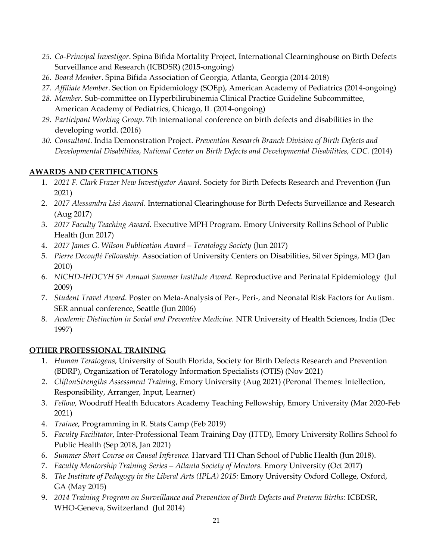- *25. Co-Principal Investigor*. Spina Bifida Mortality Project, International Clearninghouse on Birth Defects Surveillance and Research (ICBDSR) (2015-ongoing)
- *26. Board Member*. Spina Bifida Association of Georgia, Atlanta, Georgia (2014-2018)
- *27. Affiliate Member*. Section on Epidemiology (SOEp), American Academy of Pediatrics (2014-ongoing)
- *28. Member*. Sub-committee on Hyperbilirubinemia Clinical Practice Guideline Subcommittee, American Academy of Pediatrics, Chicago, IL (2014-ongoing)
- *29. Participant Working Group*. 7th international conference on birth defects and disabilities in the developing world. (2016)
- *30. Consultant*. India Demonstration Project. *Prevention Research Branch Division of Birth Defects and Developmental Disabilities, National Center on Birth Defects and Developmental Disabilities, CDC.* (2014)

## **AWARDS AND CERTIFICATIONS**

- 1. *2021 F. Clark Frazer New Investigator Award*. Society for Birth Defects Research and Prevention (Jun 2021)
- 2. *2017 Alessandra Lisi Award*. International Clearinghouse for Birth Defects Surveillance and Research (Aug 2017)
- 3. *2017 Faculty Teaching Award.* Executive MPH Program. Emory University Rollins School of Public Health (Jun 2017)
- 4. *2017 James G. Wilson Publication Award – Teratology Society* (Jun 2017)
- 5. *Pierre Decouflé Fellowship.* Association of University Centers on Disabilities, Silver Spings, MD (Jan 2010)
- 6. *NICHD-IHDCYH 5th Annual Summer Institute Award.* Reproductive and Perinatal Epidemiology (Jul 2009)
- 7. *Student Travel Award.* Poster on Meta-Analysis of Per-, Peri-, and Neonatal Risk Factors for Autism. SER annual conference, Seattle (Jun 2006)
- 8. *Academic Distinction in Social and Preventive Medicine.* NTR University of Health Sciences, India (Dec 1997)

# **OTHER PROFESSIONAL TRAINING**

- 1. *Human Teratogens*, University of South Florida, Society for Birth Defects Research and Prevention (BDRP), Organization of Teratology Information Specialists (OTIS) (Nov 2021)
- 2. *CliftonStrengths Assessment Training*, Emory University (Aug 2021) (Peronal Themes: Intellection, Responsibility, Arranger, Input, Learner)
- 3. *Fellow,* Woodruff Health Educators Academy Teaching Fellowship, Emory University (Mar 2020-Feb 2021)
- 4. *Trainee,* Programming in R. Stats Camp (Feb 2019)
- 5. *Faculty Facilitator*, Inter-Professional Team Training Day (ITTD), Emory University Rollins School fo Public Health (Sep 2018, Jan 2021)
- 6. *Summer Short Course on Causal Inference.* Harvard TH Chan School of Public Health (Jun 2018).
- 7. *Faculty Mentorship Training Series – Atlanta Society of Mentors.* Emory University (Oct 2017)
- 8. *The Institute of Pedagogy in the Liberal Arts (IPLA) 2015:* Emory University Oxford College, Oxford, GA (May 2015)
- 9. *2014 Training Program on Surveillance and Prevention of Birth Defects and Preterm Births:* ICBDSR, WHO-Geneva, Switzerland (Jul 2014)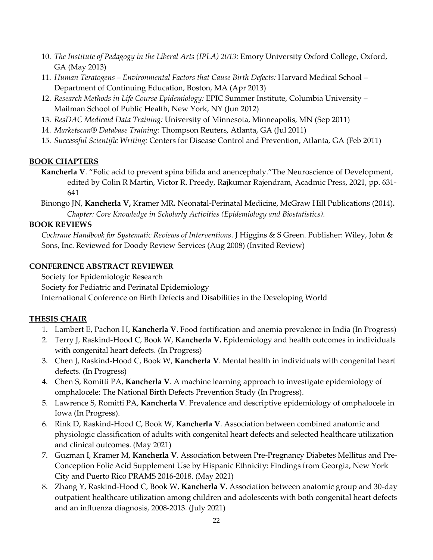- 10. *The Institute of Pedagogy in the Liberal Arts (IPLA) 2013:* Emory University Oxford College, Oxford, GA (May 2013)
- 11. *Human Teratogens – Environmental Factors that Cause Birth Defects:* Harvard Medical School Department of Continuing Education, Boston, MA (Apr 2013)
- 12. *Research Methods in Life Course Epidemiology:* EPIC Summer Institute, Columbia University Mailman School of Public Health, New York, NY (Jun 2012)
- 13. *ResDAC Medicaid Data Training:* University of Minnesota, Minneapolis, MN (Sep 2011)
- 14. *Marketscan® Database Training:* Thompson Reuters, Atlanta, GA (Jul 2011)
- 15. *Successful Scientific Writing:* Centers for Disease Control and Prevention, Atlanta, GA (Feb 2011)

#### **BOOK CHAPTERS**

- **Kancherla V**. "Folic acid to prevent spina bifida and anencephaly."The Neuroscience of Development, edited by Colin R Martin, Victor R. Preedy, Rajkumar Rajendram, Acadmic Press, 2021, pp. 631- 641
- Binongo JN, **Kancherla V,** Kramer MR**.** Neonatal-Perinatal Medicine, McGraw Hill Publications (2014)**.**  *Chapter: Core Knowledge in Scholarly Activities (Epidemiology and Biostatistics).*

#### **BOOK REVIEWS**

*Cochrane Handbook for Systematic Reviews of Interventions*. J Higgins & S Green. Publisher: Wiley, John & Sons, Inc. Reviewed for Doody Review Services (Aug 2008) (Invited Review)

#### **CONFERENCE ABSTRACT REVIEWER**

Society for Epidemiologic Research

Society for Pediatric and Perinatal Epidemiology

International Conference on Birth Defects and Disabilities in the Developing World

## **THESIS CHAIR**

- 1. Lambert E, Pachon H, **Kancherla V**. Food fortification and anemia prevalence in India (In Progress)
- 2. Terry J, Raskind-Hood C, Book W, **Kancherla V.** Epidemiology and health outcomes in individuals with congenital heart defects. (In Progress)
- 3. Chen J, Raskind-Hood C, Book W, **Kancherla V**. Mental health in individuals with congenital heart defects. (In Progress)
- 4. Chen S, Romitti PA, **Kancherla V**. A machine learning approach to investigate epidemiology of omphalocele: The National Birth Defects Prevention Study (In Progress).
- 5. Lawrence S, Romitti PA, **Kancherla V**. Prevalence and descriptive epidemiology of omphalocele in Iowa (In Progress).
- 6. Rink D, Raskind-Hood C, Book W, **Kancherla V**. Association between combined anatomic and physiologic classification of adults with congenital heart defects and selected healthcare utilization and clinical outcomes. (May 2021)
- 7. Guzman I, Kramer M, **Kancherla V**. Association between Pre-Pregnancy Diabetes Mellitus and Pre-Conception Folic Acid Supplement Use by Hispanic Ethnicity: Findings from Georgia, New York City and Puerto Rico PRAMS 2016-2018. (May 2021)
- 8. Zhang Y, Raskind-Hood C, Book W, **Kancherla V.** Association between anatomic group and 30-day outpatient healthcare utilization among children and adolescents with both congenital heart defects and an influenza diagnosis, 2008-2013. (July 2021)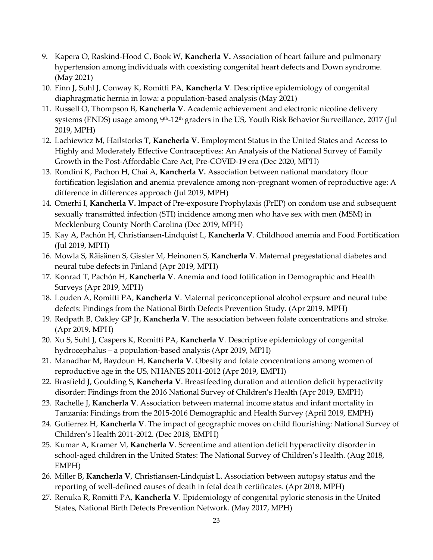- 9. Kapera O, Raskind-Hood C, Book W, **Kancherla V.** Association of heart failure and pulmonary hypertension among individuals with coexisting congenital heart defects and Down syndrome. (May 2021)
- 10. Finn J, Suhl J, Conway K, Romitti PA, **Kancherla V**. Descriptive epidemiology of congenital diaphragmatic hernia in Iowa: a population-based analysis (May 2021)
- 11. Russell O, Thompson B, **Kancherla V**. Academic achievement and electronic nicotine delivery systems (ENDS) usage among 9<sup>th</sup>-12<sup>th</sup> graders in the US, Youth Risk Behavior Surveillance, 2017 (Jul 2019, MPH)
- 12. Lachiewicz M, Hailstorks T, **Kancherla V**. Employment Status in the United States and Access to Highly and Moderately Effective Contraceptives: An Analysis of the National Survey of Family Growth in the Post-Affordable Care Act, Pre-COVID-19 era (Dec 2020, MPH)
- 13. Rondini K, Pachon H, Chai A, **Kancherla V.** Association between national mandatory flour fortification legislation and anemia prevalence among non-pregnant women of reproductive age: A difference in differences approach (Jul 2019, MPH)
- 14. Omerhi I, **Kancherla V.** Impact of Pre-exposure Prophylaxis (PrEP) on condom use and subsequent sexually transmitted infection (STI) incidence among men who have sex with men (MSM) in Mecklenburg County North Carolina (Dec 2019, MPH)
- 15. Kay A, Pachón H, Christiansen-Lindquist L, **Kancherla V**. Childhood anemia and Food Fortification (Jul 2019, MPH)
- 16. Mowla S, Räisänen S, Gissler M, Heinonen S, **Kancherla V**. Maternal pregestational diabetes and neural tube defects in Finland (Apr 2019, MPH)
- 17. Konrad T, Pachón H, **Kancherla V**. Anemia and food fotification in Demographic and Health Surveys (Apr 2019, MPH)
- 18. Louden A, Romitti PA, **Kancherla V**. Maternal periconceptional alcohol expsure and neural tube defects: Findings from the National Birth Defects Prevention Study. (Apr 2019, MPH)
- 19. Redpath B, Oakley GP Jr, **Kancherla V**. The association between folate concentrations and stroke. (Apr 2019, MPH)
- 20. Xu S, Suhl J, Caspers K, Romitti PA, **Kancherla V**. Descriptive epidemiology of congenital hydrocephalus – a population-based analysis (Apr 2019, MPH)
- 21. Manadhar M, Baydoun H, **Kancherla V**. Obesity and folate concentrations among women of reproductive age in the US, NHANES 2011-2012 (Apr 2019, EMPH)
- 22. Brasfield J, Goulding S, **Kancherla V**. Breastfeeding duration and attention deficit hyperactivity disorder: Findings from the 2016 National Survey of Children's Health (Apr 2019, EMPH)
- 23. Rachelle J, **Kancherla V**. Association between maternal income status and infant mortality in Tanzania: Findings from the 2015-2016 Demographic and Health Survey (April 2019, EMPH)
- 24. Gutierrez H, **Kancherla V**. The impact of geographic moves on child flourishing: National Survey of Children's Health 2011-2012. (Dec 2018, EMPH)
- 25. Kumar A, Kramer M, **Kancherla V**. Screentime and attention deficit hyperactivity disorder in school-aged children in the United States: The National Survey of Children's Health. (Aug 2018, EMPH)
- 26. Miller B, **Kancherla V**, Christiansen-Lindquist L. Association between autopsy status and the reporting of well-defined causes of death in fetal death certificates. (Apr 2018, MPH)
- 27. Renuka R, Romitti PA, **Kancherla V**. Epidemiology of congenital pyloric stenosis in the United States, National Birth Defects Prevention Network. (May 2017, MPH)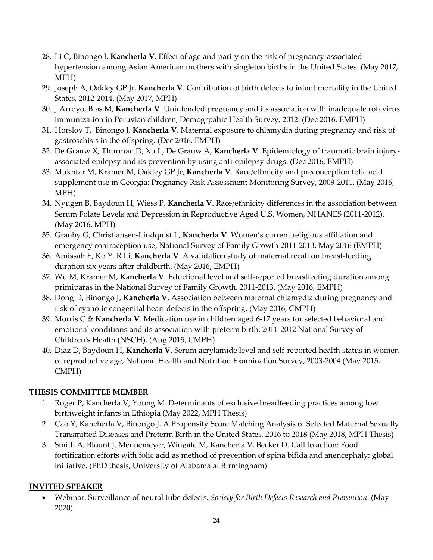- 28. Li C, Binongo J, **Kancherla V**. Effect of age and parity on the risk of pregnancy-associated hypertension among Asian American mothers with singleton births in the United States. (May 2017, MPH)
- 29. Joseph A, Oakley GP Jr, **Kancherla V**. Contribution of birth defects to infant mortality in the United States, 2012-2014. (May 2017, MPH)
- 30. J Arroyo, Blas M, **Kancherla V**. Unintended pregnancy and its association with inadequate rotavirus immunization in Peruvian children, Demogrpahic Health Survey, 2012. (Dec 2016, EMPH)
- 31. Horslov T, Binongo J, **Kancherla V**. Maternal exposure to chlamydia during pregnancy and risk of gastroschisis in the offspring. (Dec 2016, EMPH)
- 32. De Grauw X, Thurman D, Xu L, De Grauw A, **Kancherla V**. Epidemiology of traumatic brain injuryassociated epilepsy and its prevention by using anti-epilepsy drugs. (Dec 2016, EMPH)
- 33. Mukhtar M, Kramer M, Oakley GP Jr, **Kancherla V**. Race/ethnicity and preconception folic acid supplement use in Georgia: Pregnancy Risk Assessment Monitoring Survey, 2009-2011. (May 2016, MPH)
- 34. Nyugen B, Baydoun H, Wiess P, **Kancherla V**. Race/ethnicity differences in the association between Serum Folate Levels and Depression in Reproductive Aged U.S. Women, NHANES (2011-2012). (May 2016, MPH)
- 35. Granby G, Christiansen-Lindquist L, **Kancherla V**. Women's current religious affiliation and emergency contraception use, National Survey of Family Growth 2011-2013. May 2016 (EMPH)
- 36. Amissah E, Ko Y, R Li, **Kancherla V**. A validation study of maternal recall on breast-feeding duration six years after childbirth. (May 2016, EMPH)
- 37. Wu M, Kramer M, **Kancherla V**. Eductional level and self-reported breastfeefing duration among primiparas in the National Survey of Family Growth, 2011-2013. (May 2016, EMPH)
- 38. Dong D, Binongo J, **Kancherla V**. [Association between maternal chlamydia during pregnancy and](https://etd.library.emory.edu/view/record/pid/emory:gs7rt)  [risk of cyanotic congenital heart defects in the offspring.](https://etd.library.emory.edu/view/record/pid/emory:gs7rt) (May 2016, CMPH)
- 39. Morris C & **Kancherla V**. [Medication use in children aged 6-17 years for selected behavioral and](https://etd.library.emory.edu/view/record/pid/emory:pqzbd)  [emotional conditions and its association with preterm birth: 2011-2012 National Survey of](https://etd.library.emory.edu/view/record/pid/emory:pqzbd)  [Children's Health \(NSCH\),](https://etd.library.emory.edu/view/record/pid/emory:pqzbd) (Aug 2015, CMPH)
- 40. Diaz D, Baydoun H, **Kancherla V**. [Serum acrylamide level and self-reported health status in women](https://etd.library.emory.edu/view/record/pid/emory:pqttx)  [of reproductive age, National Health and Nutrition Examination Survey,](https://etd.library.emory.edu/view/record/pid/emory:pqttx) 2003-2004 (May 2015, CMPH)

# **THESIS COMMITTEE MEMBER**

- 1. Roger P, Kancherla V, Young M. Determinants of exclusive breadfeeding practices among low birthweight infants in Ethiopia (May 2022, MPH Thesis)
- 2. Cao Y, Kancherla V, Binongo J. A Propensity Score Matching Analysis of Selected Maternal Sexually Transmitted Diseases and Preterm Birth in the United States, 2016 to 2018 (May 2018, MPH Thesis)
- 3. Smith A, Blount J, Mennemeyer, Wingate M, Kancherla V, Becker D. Call to action: Food fortification efforts with folic acid as method of prevention of spina bifida and anencephaly: global initiative. (PhD thesis, University of Alabama at Birmingham)

## **INVITED SPEAKER**

• Webinar: Surveillance of neural tube defects. *Society for Birth Defects Research and Prevention*. (May 2020)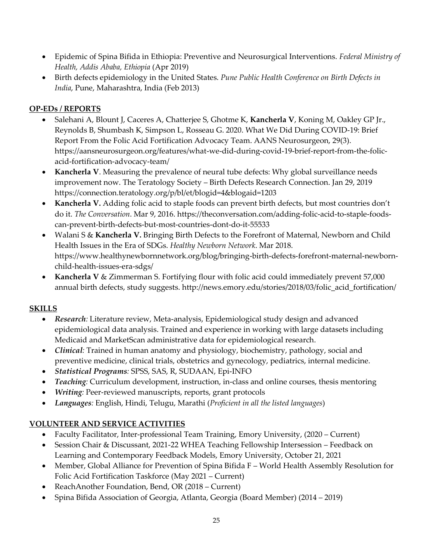- Epidemic of Spina Bifida in Ethiopia: Preventive and Neurosurgical Interventions. *Federal Ministry of Health, Addis Ababa, Ethiopia* (Apr 2019)
- Birth defects epidemiology in the United States. *Pune Public Health Conference on Birth Defects in India*, Pune, Maharashtra, India (Feb 2013)

# **OP-EDs / REPORTS**

- Salehani A, Blount J, Caceres A, Chatterjee S, Ghotme K, **Kancherla V**, Koning M, Oakley GP Jr., Reynolds B, Shumbash K, Simpson L, Rosseau G. 2020. What We Did During COVID-19: Brief Report From the Folic Acid Fortification Advocacy Team. AANS Neurosurgeon, 29(3). https://aansneurosurgeon.org/features/what-we-did-during-covid-19-brief-report-from-the-folicacid-fortification-advocacy-team/
- **Kancherla V**. Measuring the prevalence of neural tube defects: Why global surveillance needs improvement now. The Teratology Society – Birth Defects Research Connection. Jan 29, 2019 https://connection.teratology.org/p/bl/et/blogid=4&blogaid=1203
- **Kancherla V.** Adding folic acid to staple foods can prevent birth defects, but most countries don't do it. *The Conversation*. Mar 9, 2016. https://theconversation.com/adding-folic-acid-to-staple-foodscan-prevent-birth-defects-but-most-countries-dont-do-it-55533
- Walani S & **Kancherla V.** Bringing Birth Defects to the Forefront of Maternal, Newborn and Child Health Issues in the Era of SDGs. *Healthy Newborn Network*. Mar 2018. [https://www.healthynewbornnetwork.org/blog/bringing-birth-defects-forefront-maternal-newborn](https://www.healthynewbornnetwork.org/blog/bringing-birth-defects-forefront-maternal-newborn-child-health-issues-era-sdgs/)[child-health-issues-era-sdgs/](https://www.healthynewbornnetwork.org/blog/bringing-birth-defects-forefront-maternal-newborn-child-health-issues-era-sdgs/)
- **Kancherla V** & Zimmerman S. Fortifying flour with folic acid could immediately prevent 57,000 annual birth defects, study suggests. http://news.emory.edu/stories/2018/03/folic\_acid\_fortification/

# **SKILLS**

- *Research:* Literature review, Meta-analysis, Epidemiological study design and advanced epidemiological data analysis. Trained and experience in working with large datasets including Medicaid and MarketScan administrative data for epidemiological research.
- *Clinical*: Trained in human anatomy and physiology, biochemistry, pathology, social and preventive medicine, clinical trials, obstetrics and gynecology, pediatrics, internal medicine.
- *Statistical Programs:* SPSS, SAS, R, SUDAAN, Epi-INFO
- *Teaching*: Curriculum development, instruction, in-class and online courses, thesis mentoring
- *Writing:* Peer-reviewed manuscripts, reports, grant protocols
- *Languages:* English, Hindi, Telugu, Marathi (*Proficient in all the listed languages*)

# **VOLUNTEER AND SERVICE ACTIVITIES**

- Faculty Facilitator, Inter-professional Team Training, Emory University, (2020 Current)
- Session Chair & Discussant, 2021-22 WHEA Teaching Fellowship Intersession Feedback on Learning and Contemporary Feedback Models, Emory University, October 21, 2021
- Member, Global Alliance for Prevention of Spina Bifida F World Health Assembly Resolution for Folic Acid Fortification Taskforce (May 2021 – Current)
- ReachAnother Foundation, Bend, OR (2018 Current)
- Spina Bifida Association of Georgia, Atlanta, Georgia (Board Member) (2014 2019)